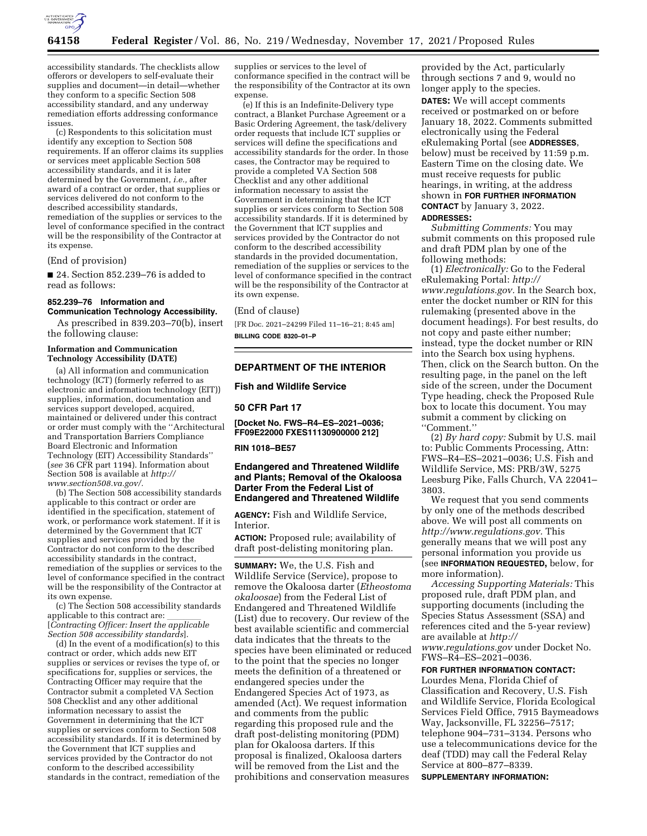

accessibility standards. The checklists allow offerors or developers to self-evaluate their supplies and document—in detail—whether they conform to a specific Section 508 accessibility standard, and any underway remediation efforts addressing conformance issues.

(c) Respondents to this solicitation must identify any exception to Section 508 requirements. If an offeror claims its supplies or services meet applicable Section 508 accessibility standards, and it is later determined by the Government, *i.e.,* after award of a contract or order, that supplies or services delivered do not conform to the described accessibility standards, remediation of the supplies or services to the level of conformance specified in the contract will be the responsibility of the Contractor at its expense.

(End of provision)

■ 24. Section 852.239–76 is added to read as follows:

## **852.239–76 Information and Communication Technology Accessibility.**

As prescribed in 839.203–70(b), insert the following clause:

#### **Information and Communication Technology Accessibility (DATE)**

(a) All information and communication technology (ICT) (formerly referred to as electronic and information technology (EIT)) supplies, information, documentation and services support developed, acquired, maintained or delivered under this contract or order must comply with the ''Architectural and Transportation Barriers Compliance Board Electronic and Information Technology (EIT) Accessibility Standards'' (*see* 36 CFR part 1194). Information about Section 508 is available at *[http://](http://www.section508.va.gov/) [www.section508.va.gov/.](http://www.section508.va.gov/)* 

(b) The Section 508 accessibility standards applicable to this contract or order are identified in the specification, statement of work, or performance work statement. If it is determined by the Government that ICT supplies and services provided by the Contractor do not conform to the described accessibility standards in the contract, remediation of the supplies or services to the level of conformance specified in the contract will be the responsibility of the Contractor at its own expense.

(c) The Section 508 accessibility standards applicable to this contract are: llll [*Contracting Officer: Insert the applicable Section 508 accessibility standards*].

(d) In the event of a modification(s) to this contract or order, which adds new EIT supplies or services or revises the type of, or specifications for, supplies or services, the Contracting Officer may require that the Contractor submit a completed VA Section 508 Checklist and any other additional information necessary to assist the Government in determining that the ICT supplies or services conform to Section 508 accessibility standards. If it is determined by the Government that ICT supplies and services provided by the Contractor do not conform to the described accessibility standards in the contract, remediation of the

supplies or services to the level of conformance specified in the contract will be the responsibility of the Contractor at its own expense.

(e) If this is an Indefinite-Delivery type contract, a Blanket Purchase Agreement or a Basic Ordering Agreement, the task/delivery order requests that include ICT supplies or services will define the specifications and accessibility standards for the order. In those cases, the Contractor may be required to provide a completed VA Section 508 Checklist and any other additional information necessary to assist the Government in determining that the ICT supplies or services conform to Section 508 accessibility standards. If it is determined by the Government that ICT supplies and services provided by the Contractor do not conform to the described accessibility standards in the provided documentation, remediation of the supplies or services to the level of conformance specified in the contract will be the responsibility of the Contractor at its own expense.

# (End of clause)

[FR Doc. 2021–24299 Filed 11–16–21; 8:45 am] **BILLING CODE 8320–01–P** 

# **DEPARTMENT OF THE INTERIOR**

# **Fish and Wildlife Service**

**50 CFR Part 17** 

**[Docket No. FWS–R4–ES–2021–0036; FF09E22000 FXES11130900000 212]** 

#### **RIN 1018–BE57**

## **Endangered and Threatened Wildlife and Plants; Removal of the Okaloosa Darter From the Federal List of Endangered and Threatened Wildlife**

**AGENCY:** Fish and Wildlife Service, Interior.

**ACTION:** Proposed rule; availability of draft post-delisting monitoring plan.

**SUMMARY:** We, the U.S. Fish and Wildlife Service (Service), propose to remove the Okaloosa darter (*Etheostoma okaloosae*) from the Federal List of Endangered and Threatened Wildlife (List) due to recovery. Our review of the best available scientific and commercial data indicates that the threats to the species have been eliminated or reduced to the point that the species no longer meets the definition of a threatened or endangered species under the Endangered Species Act of 1973, as amended (Act). We request information and comments from the public regarding this proposed rule and the draft post-delisting monitoring (PDM) plan for Okaloosa darters. If this proposal is finalized, Okaloosa darters will be removed from the List and the prohibitions and conservation measures

provided by the Act, particularly through sections 7 and 9, would no longer apply to the species. **DATES:** We will accept comments received or postmarked on or before January 18, 2022. Comments submitted electronically using the Federal eRulemaking Portal (see **ADDRESSES**, below) must be received by 11:59 p.m. Eastern Time on the closing date. We must receive requests for public hearings, in writing, at the address shown in **FOR FURTHER INFORMATION CONTACT** by January 3, 2022.

### **ADDRESSES:**

*Submitting Comments:* You may submit comments on this proposed rule and draft PDM plan by one of the following methods:

(1) *Electronically:* Go to the Federal eRulemaking Portal: *[http://](http://www.regulations.gov) [www.regulations.gov.](http://www.regulations.gov)* In the Search box, enter the docket number or RIN for this rulemaking (presented above in the document headings). For best results, do not copy and paste either number; instead, type the docket number or RIN into the Search box using hyphens. Then, click on the Search button. On the resulting page, in the panel on the left side of the screen, under the Document Type heading, check the Proposed Rule box to locate this document. You may submit a comment by clicking on ''Comment.''

(2) *By hard copy:* Submit by U.S. mail to: Public Comments Processing, Attn: FWS–R4–ES–2021–0036; U.S. Fish and Wildlife Service, MS: PRB/3W, 5275 Leesburg Pike, Falls Church, VA 22041– 3803.

We request that you send comments by only one of the methods described above. We will post all comments on *[http://www.regulations.gov.](http://www.regulations.gov)* This generally means that we will post any personal information you provide us (see **INFORMATION REQUESTED,** below, for more information).

*Accessing Supporting Materials:* This proposed rule, draft PDM plan, and supporting documents (including the Species Status Assessment (SSA) and references cited and the 5-year review) are available at *[http://](http://www.regulations.gov) [www.regulations.gov](http://www.regulations.gov)* under Docket No.

FWS–R4–ES–2021–0036.

# **FOR FURTHER INFORMATION CONTACT:**

Lourdes Mena, Florida Chief of Classification and Recovery, U.S. Fish and Wildlife Service, Florida Ecological Services Field Office, 7915 Baymeadows Way, Jacksonville, FL 32256–7517; telephone 904–731–3134. Persons who use a telecommunications device for the deaf (TDD) may call the Federal Relay Service at 800–877–8339.

**SUPPLEMENTARY INFORMATION:**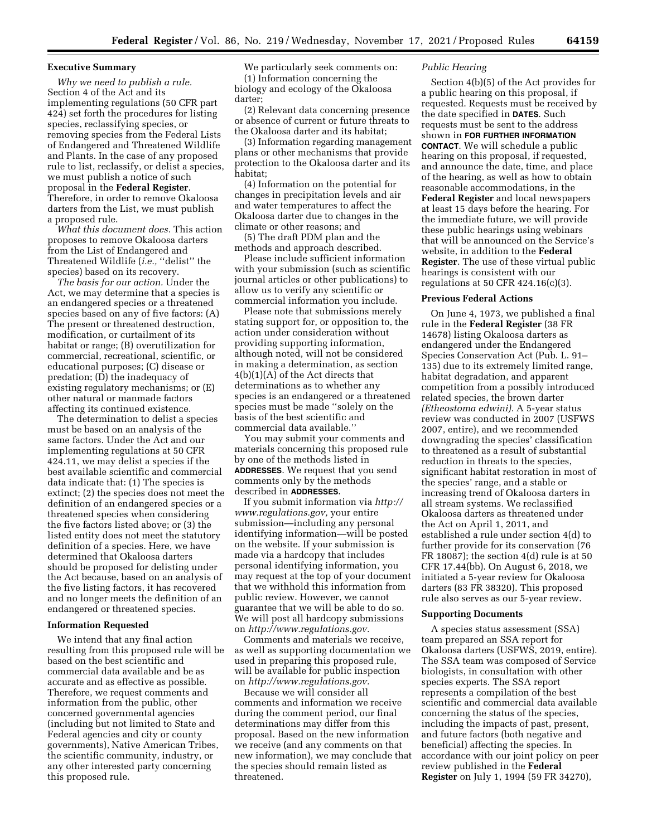## **Executive Summary**

*Why we need to publish a rule.*  Section 4 of the Act and its implementing regulations (50 CFR part 424) set forth the procedures for listing species, reclassifying species, or removing species from the Federal Lists of Endangered and Threatened Wildlife and Plants. In the case of any proposed rule to list, reclassify, or delist a species, we must publish a notice of such proposal in the **Federal Register**. Therefore, in order to remove Okaloosa darters from the List, we must publish a proposed rule.

*What this document does.* This action proposes to remove Okaloosa darters from the List of Endangered and Threatened Wildlife (*i.e.,* ''delist'' the species) based on its recovery.

*The basis for our action.* Under the Act, we may determine that a species is an endangered species or a threatened species based on any of five factors: (A) The present or threatened destruction, modification, or curtailment of its habitat or range; (B) overutilization for commercial, recreational, scientific, or educational purposes; (C) disease or predation; (D) the inadequacy of existing regulatory mechanisms; or (E) other natural or manmade factors affecting its continued existence.

The determination to delist a species must be based on an analysis of the same factors. Under the Act and our implementing regulations at 50 CFR 424.11, we may delist a species if the best available scientific and commercial data indicate that: (1) The species is extinct; (2) the species does not meet the definition of an endangered species or a threatened species when considering the five factors listed above; or (3) the listed entity does not meet the statutory definition of a species. Here, we have determined that Okaloosa darters should be proposed for delisting under the Act because, based on an analysis of the five listing factors, it has recovered and no longer meets the definition of an endangered or threatened species.

#### **Information Requested**

We intend that any final action resulting from this proposed rule will be based on the best scientific and commercial data available and be as accurate and as effective as possible. Therefore, we request comments and information from the public, other concerned governmental agencies (including but not limited to State and Federal agencies and city or county governments), Native American Tribes, the scientific community, industry, or any other interested party concerning this proposed rule.

We particularly seek comments on: (1) Information concerning the biology and ecology of the Okaloosa darter;

(2) Relevant data concerning presence or absence of current or future threats to the Okaloosa darter and its habitat;

(3) Information regarding management plans or other mechanisms that provide protection to the Okaloosa darter and its habitat;

(4) Information on the potential for changes in precipitation levels and air and water temperatures to affect the Okaloosa darter due to changes in the climate or other reasons; and

(5) The draft PDM plan and the methods and approach described.

Please include sufficient information with your submission (such as scientific journal articles or other publications) to allow us to verify any scientific or commercial information you include.

Please note that submissions merely stating support for, or opposition to, the action under consideration without providing supporting information, although noted, will not be considered in making a determination, as section 4(b)(1)(A) of the Act directs that determinations as to whether any species is an endangered or a threatened species must be made ''solely on the basis of the best scientific and commercial data available.''

You may submit your comments and materials concerning this proposed rule by one of the methods listed in **ADDRESSES**. We request that you send comments only by the methods described in **ADDRESSES**.

If you submit information via *[http://](http://www.regulations.gov) [www.regulations.gov,](http://www.regulations.gov)* your entire submission—including any personal identifying information—will be posted on the website. If your submission is made via a hardcopy that includes personal identifying information, you may request at the top of your document that we withhold this information from public review. However, we cannot guarantee that we will be able to do so. We will post all hardcopy submissions on *[http://www.regulations.gov.](http://www.regulations.gov)* 

Comments and materials we receive, as well as supporting documentation we used in preparing this proposed rule, will be available for public inspection on *[http://www.regulations.gov.](http://www.regulations.gov)* 

Because we will consider all comments and information we receive during the comment period, our final determinations may differ from this proposal. Based on the new information we receive (and any comments on that new information), we may conclude that the species should remain listed as threatened.

# *Public Hearing*

Section 4(b)(5) of the Act provides for a public hearing on this proposal, if requested. Requests must be received by the date specified in **DATES**. Such requests must be sent to the address shown in **FOR FURTHER INFORMATION CONTACT**. We will schedule a public hearing on this proposal, if requested, and announce the date, time, and place of the hearing, as well as how to obtain reasonable accommodations, in the **Federal Register** and local newspapers at least 15 days before the hearing. For the immediate future, we will provide these public hearings using webinars that will be announced on the Service's website, in addition to the **Federal Register**. The use of these virtual public hearings is consistent with our regulations at 50 CFR  $424.16(c)(3)$ .

### **Previous Federal Actions**

On June 4, 1973, we published a final rule in the **Federal Register** (38 FR 14678) listing Okaloosa darters as endangered under the Endangered Species Conservation Act (Pub. L. 91– 135) due to its extremely limited range, habitat degradation, and apparent competition from a possibly introduced related species, the brown darter *(Etheostoma edwini).* A 5-year status review was conducted in 2007 (USFWS 2007, entire), and we recommended downgrading the species' classification to threatened as a result of substantial reduction in threats to the species, significant habitat restoration in most of the species' range, and a stable or increasing trend of Okaloosa darters in all stream systems. We reclassified Okaloosa darters as threatened under the Act on April 1, 2011, and established a rule under section 4(d) to further provide for its conservation (76 FR 18087); the section 4(d) rule is at 50 CFR 17.44(bb). On August 6, 2018, we initiated a 5-year review for Okaloosa darters (83 FR 38320). This proposed rule also serves as our 5-year review.

#### **Supporting Documents**

A species status assessment (SSA) team prepared an SSA report for Okaloosa darters (USFWS, 2019, entire). The SSA team was composed of Service biologists, in consultation with other species experts. The SSA report represents a compilation of the best scientific and commercial data available concerning the status of the species, including the impacts of past, present, and future factors (both negative and beneficial) affecting the species. In accordance with our joint policy on peer review published in the **Federal Register** on July 1, 1994 (59 FR 34270),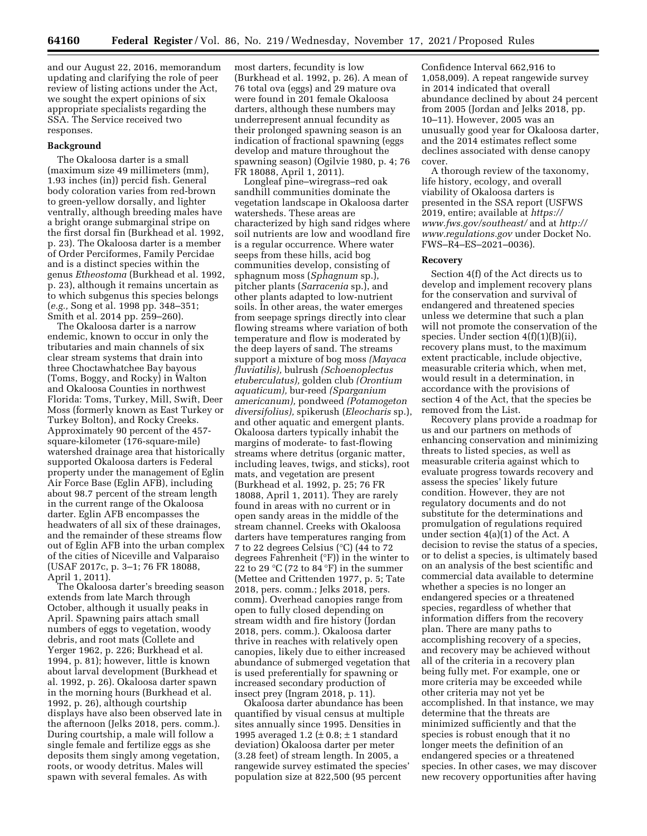and our August 22, 2016, memorandum updating and clarifying the role of peer review of listing actions under the Act, we sought the expert opinions of six appropriate specialists regarding the SSA. The Service received two responses.

### **Background**

The Okaloosa darter is a small (maximum size 49 millimeters (mm), 1.93 inches (in)) percid fish. General body coloration varies from red-brown to green-yellow dorsally, and lighter ventrally, although breeding males have a bright orange submarginal stripe on the first dorsal fin (Burkhead et al. 1992, p. 23). The Okaloosa darter is a member of Order Perciformes, Family Percidae and is a distinct species within the genus *Etheostoma* (Burkhead et al. 1992, p. 23), although it remains uncertain as to which subgenus this species belongs (*e.g.,* Song et al. 1998 pp. 348–351; Smith et al. 2014 pp. 259–260).

The Okaloosa darter is a narrow endemic, known to occur in only the tributaries and main channels of six clear stream systems that drain into three Choctawhatchee Bay bayous (Toms, Boggy, and Rocky) in Walton and Okaloosa Counties in northwest Florida: Toms, Turkey, Mill, Swift, Deer Moss (formerly known as East Turkey or Turkey Bolton), and Rocky Creeks. Approximately 90 percent of the 457 square-kilometer (176-square-mile) watershed drainage area that historically supported Okaloosa darters is Federal property under the management of Eglin Air Force Base (Eglin AFB), including about 98.7 percent of the stream length in the current range of the Okaloosa darter. Eglin AFB encompasses the headwaters of all six of these drainages, and the remainder of these streams flow out of Eglin AFB into the urban complex of the cities of Niceville and Valparaiso (USAF 2017c, p. 3–1; 76 FR 18088, April 1, 2011).

The Okaloosa darter's breeding season extends from late March through October, although it usually peaks in April. Spawning pairs attach small numbers of eggs to vegetation, woody debris, and root mats (Collete and Yerger 1962, p. 226; Burkhead et al. 1994, p. 81); however, little is known about larval development (Burkhead et al. 1992, p. 26). Okaloosa darter spawn in the morning hours (Burkhead et al. 1992, p. 26), although courtship displays have also been observed late in the afternoon (Jelks 2018, pers. comm.). During courtship, a male will follow a single female and fertilize eggs as she deposits them singly among vegetation, roots, or woody detritus. Males will spawn with several females. As with

most darters, fecundity is low (Burkhead et al. 1992, p. 26). A mean of 76 total ova (eggs) and 29 mature ova were found in 201 female Okaloosa darters, although these numbers may underrepresent annual fecundity as their prolonged spawning season is an indication of fractional spawning (eggs develop and mature throughout the spawning season) (Ogilvie 1980, p. 4; 76 FR 18088, April 1, 2011).

Longleaf pine–wiregrass–red oak sandhill communities dominate the vegetation landscape in Okaloosa darter watersheds. These areas are characterized by high sand ridges where soil nutrients are low and woodland fire is a regular occurrence. Where water seeps from these hills, acid bog communities develop, consisting of sphagnum moss (*Sphagnum* sp.), pitcher plants (*Sarracenia* sp.), and other plants adapted to low-nutrient soils. In other areas, the water emerges from seepage springs directly into clear flowing streams where variation of both temperature and flow is moderated by the deep layers of sand. The streams support a mixture of bog moss *(Mayaca fluviatilis),* bulrush *(Schoenoplectus etuberculatus),* golden club *(Orontium aquaticum),* bur-reed *(Sparganium americanum),* pondweed *(Potamogeton diversifolius),* spikerush (*Eleocharis* sp.), and other aquatic and emergent plants. Okaloosa darters typically inhabit the margins of moderate- to fast-flowing streams where detritus (organic matter, including leaves, twigs, and sticks), root mats, and vegetation are present (Burkhead et al. 1992, p. 25; 76 FR 18088, April 1, 2011). They are rarely found in areas with no current or in open sandy areas in the middle of the stream channel. Creeks with Okaloosa darters have temperatures ranging from 7 to 22 degrees Celsius (°C) (44 to 72 degrees Fahrenheit (°F)) in the winter to 22 to 29 °C (72 to 84 °F) in the summer (Mettee and Crittenden 1977, p. 5; Tate 2018, pers. comm.; Jelks 2018, pers. comm). Overhead canopies range from open to fully closed depending on stream width and fire history (Jordan 2018, pers. comm.). Okaloosa darter thrive in reaches with relatively open canopies, likely due to either increased abundance of submerged vegetation that is used preferentially for spawning or increased secondary production of insect prey (Ingram 2018, p. 11).

Okaloosa darter abundance has been quantified by visual census at multiple sites annually since 1995. Densities in 1995 averaged 1.2 ( $\pm$  0.8;  $\pm$  1 standard deviation) Okaloosa darter per meter (3.28 feet) of stream length. In 2005, a rangewide survey estimated the species' population size at 822,500 (95 percent

Confidence Interval 662,916 to 1,058,009). A repeat rangewide survey in 2014 indicated that overall abundance declined by about 24 percent from 2005 (Jordan and Jelks 2018, pp. 10–11). However, 2005 was an unusually good year for Okaloosa darter, and the 2014 estimates reflect some declines associated with dense canopy cover.

A thorough review of the taxonomy, life history, ecology, and overall viability of Okaloosa darters is presented in the SSA report (USFWS 2019, entire; available at *[https://](https://www.fws.gov/southeast/) [www.fws.gov/southeast/](https://www.fws.gov/southeast/)* and at *[http://](http://www.regulations.gov) [www.regulations.gov](http://www.regulations.gov)* under Docket No. FWS–R4–ES–2021–0036).

# **Recovery**

Section 4(f) of the Act directs us to develop and implement recovery plans for the conservation and survival of endangered and threatened species unless we determine that such a plan will not promote the conservation of the species. Under section 4(f)(1)(B)(ii), recovery plans must, to the maximum extent practicable, include objective, measurable criteria which, when met, would result in a determination, in accordance with the provisions of section 4 of the Act, that the species be removed from the List.

Recovery plans provide a roadmap for us and our partners on methods of enhancing conservation and minimizing threats to listed species, as well as measurable criteria against which to evaluate progress towards recovery and assess the species' likely future condition. However, they are not regulatory documents and do not substitute for the determinations and promulgation of regulations required under section 4(a)(1) of the Act. A decision to revise the status of a species, or to delist a species, is ultimately based on an analysis of the best scientific and commercial data available to determine whether a species is no longer an endangered species or a threatened species, regardless of whether that information differs from the recovery plan. There are many paths to accomplishing recovery of a species, and recovery may be achieved without all of the criteria in a recovery plan being fully met. For example, one or more criteria may be exceeded while other criteria may not yet be accomplished. In that instance, we may determine that the threats are minimized sufficiently and that the species is robust enough that it no longer meets the definition of an endangered species or a threatened species. In other cases, we may discover new recovery opportunities after having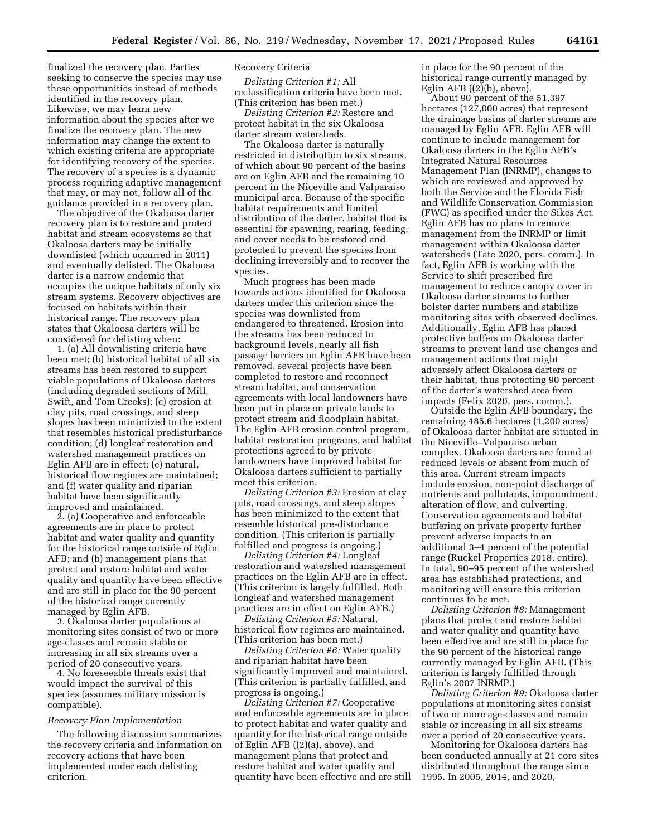finalized the recovery plan. Parties seeking to conserve the species may use these opportunities instead of methods identified in the recovery plan. Likewise, we may learn new information about the species after we finalize the recovery plan. The new information may change the extent to which existing criteria are appropriate for identifying recovery of the species. The recovery of a species is a dynamic process requiring adaptive management that may, or may not, follow all of the guidance provided in a recovery plan.

The objective of the Okaloosa darter recovery plan is to restore and protect habitat and stream ecosystems so that Okaloosa darters may be initially downlisted (which occurred in 2011) and eventually delisted. The Okaloosa darter is a narrow endemic that occupies the unique habitats of only six stream systems. Recovery objectives are focused on habitats within their historical range. The recovery plan states that Okaloosa darters will be considered for delisting when:

1. (a) All downlisting criteria have been met; (b) historical habitat of all six streams has been restored to support viable populations of Okaloosa darters (including degraded sections of Mill, Swift, and Tom Creeks); (c) erosion at clay pits, road crossings, and steep slopes has been minimized to the extent that resembles historical predisturbance condition; (d) longleaf restoration and watershed management practices on Eglin AFB are in effect; (e) natural, historical flow regimes are maintained; and (f) water quality and riparian habitat have been significantly improved and maintained.

2. (a) Cooperative and enforceable agreements are in place to protect habitat and water quality and quantity for the historical range outside of Eglin AFB; and (b) management plans that protect and restore habitat and water quality and quantity have been effective and are still in place for the 90 percent of the historical range currently managed by Eglin AFB.

3. Okaloosa darter populations at monitoring sites consist of two or more age-classes and remain stable or increasing in all six streams over a period of 20 consecutive years.

4. No foreseeable threats exist that would impact the survival of this species (assumes military mission is compatible).

#### *Recovery Plan Implementation*

The following discussion summarizes the recovery criteria and information on recovery actions that have been implemented under each delisting criterion.

## Recovery Criteria

*Delisting Criterion #1:* All reclassification criteria have been met. (This criterion has been met.)

*Delisting Criterion #2:* Restore and protect habitat in the six Okaloosa darter stream watersheds.

The Okaloosa darter is naturally restricted in distribution to six streams, of which about 90 percent of the basins are on Eglin AFB and the remaining 10 percent in the Niceville and Valparaiso municipal area. Because of the specific habitat requirements and limited distribution of the darter, habitat that is essential for spawning, rearing, feeding, and cover needs to be restored and protected to prevent the species from declining irreversibly and to recover the species.

Much progress has been made towards actions identified for Okaloosa darters under this criterion since the species was downlisted from endangered to threatened. Erosion into the streams has been reduced to background levels, nearly all fish passage barriers on Eglin AFB have been removed, several projects have been completed to restore and reconnect stream habitat, and conservation agreements with local landowners have been put in place on private lands to protect stream and floodplain habitat. The Eglin AFB erosion control program, habitat restoration programs, and habitat protections agreed to by private landowners have improved habitat for Okaloosa darters sufficient to partially meet this criterion.

*Delisting Criterion #3:* Erosion at clay pits, road crossings, and steep slopes has been minimized to the extent that resemble historical pre-disturbance condition. (This criterion is partially fulfilled and progress is ongoing.)

*Delisting Criterion #4:* Longleaf restoration and watershed management practices on the Eglin AFB are in effect. (This criterion is largely fulfilled. Both longleaf and watershed management practices are in effect on Eglin AFB.)

*Delisting Criterion #5:* Natural, historical flow regimes are maintained. (This criterion has been met.)

*Delisting Criterion #6:* Water quality and riparian habitat have been significantly improved and maintained. (This criterion is partially fulfilled, and progress is ongoing.)

*Delisting Criterion #7:* Cooperative and enforceable agreements are in place to protect habitat and water quality and quantity for the historical range outside of Eglin AFB ((2)(a), above), and management plans that protect and restore habitat and water quality and quantity have been effective and are still in place for the 90 percent of the historical range currently managed by Eglin AFB  $((2)(b)$ , above).

About 90 percent of the 51,397 hectares  $(127,000$  acres) that represent the drainage basins of darter streams are managed by Eglin AFB. Eglin AFB will continue to include management for Okaloosa darters in the Eglin AFB's Integrated Natural Resources Management Plan (INRMP), changes to which are reviewed and approved by both the Service and the Florida Fish and Wildlife Conservation Commission (FWC) as specified under the Sikes Act. Eglin AFB has no plans to remove management from the INRMP or limit management within Okaloosa darter watersheds (Tate 2020, pers. comm.). In fact, Eglin AFB is working with the Service to shift prescribed fire management to reduce canopy cover in Okaloosa darter streams to further bolster darter numbers and stabilize monitoring sites with observed declines. Additionally, Eglin AFB has placed protective buffers on Okaloosa darter streams to prevent land use changes and management actions that might adversely affect Okaloosa darters or their habitat, thus protecting 90 percent of the darter's watershed area from impacts (Felix 2020, pers. comm.).

Outside the Eglin AFB boundary, the remaining 485.6 hectares (1,200 acres) of Okaloosa darter habitat are situated in the Niceville–Valparaiso urban complex. Okaloosa darters are found at reduced levels or absent from much of this area. Current stream impacts include erosion, non-point discharge of nutrients and pollutants, impoundment, alteration of flow, and culverting. Conservation agreements and habitat buffering on private property further prevent adverse impacts to an additional 3–4 percent of the potential range (Ruckel Properties 2018, entire). In total, 90–95 percent of the watershed area has established protections, and monitoring will ensure this criterion continues to be met.

*Delisting Criterion #8:* Management plans that protect and restore habitat and water quality and quantity have been effective and are still in place for the 90 percent of the historical range currently managed by Eglin AFB. (This criterion is largely fulfilled through Eglin's 2007 INRMP.)

*Delisting Criterion #9:* Okaloosa darter populations at monitoring sites consist of two or more age-classes and remain stable or increasing in all six streams over a period of 20 consecutive years.

Monitoring for Okaloosa darters has been conducted annually at 21 core sites distributed throughout the range since 1995. In 2005, 2014, and 2020,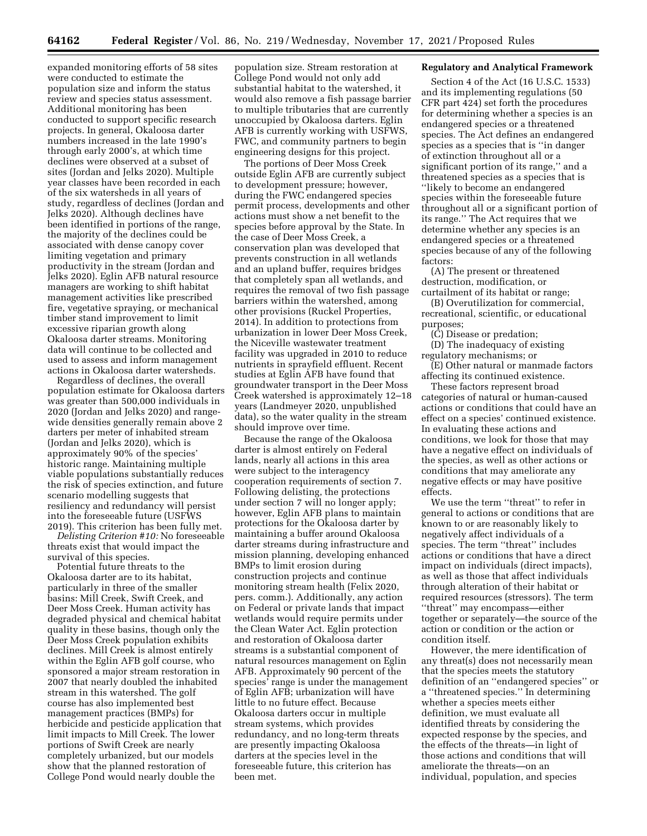expanded monitoring efforts of 58 sites were conducted to estimate the population size and inform the status review and species status assessment. Additional monitoring has been conducted to support specific research projects. In general, Okaloosa darter numbers increased in the late 1990's through early 2000's, at which time declines were observed at a subset of sites (Jordan and Jelks 2020). Multiple year classes have been recorded in each of the six watersheds in all years of study, regardless of declines (Jordan and Jelks 2020). Although declines have been identified in portions of the range, the majority of the declines could be associated with dense canopy cover limiting vegetation and primary productivity in the stream (Jordan and Jelks 2020). Eglin AFB natural resource managers are working to shift habitat management activities like prescribed fire, vegetative spraying, or mechanical timber stand improvement to limit excessive riparian growth along Okaloosa darter streams. Monitoring data will continue to be collected and used to assess and inform management actions in Okaloosa darter watersheds.

Regardless of declines, the overall population estimate for Okaloosa darters was greater than 500,000 individuals in 2020 (Jordan and Jelks 2020) and rangewide densities generally remain above 2 darters per meter of inhabited stream (Jordan and Jelks 2020), which is approximately 90% of the species' historic range. Maintaining multiple viable populations substantially reduces the risk of species extinction, and future scenario modelling suggests that resiliency and redundancy will persist into the foreseeable future (USFWS 2019). This criterion has been fully met.

*Delisting Criterion #10:* No foreseeable threats exist that would impact the survival of this species.

Potential future threats to the Okaloosa darter are to its habitat, particularly in three of the smaller basins: Mill Creek, Swift Creek, and Deer Moss Creek. Human activity has degraded physical and chemical habitat quality in these basins, though only the Deer Moss Creek population exhibits declines. Mill Creek is almost entirely within the Eglin AFB golf course, who sponsored a major stream restoration in 2007 that nearly doubled the inhabited stream in this watershed. The golf course has also implemented best management practices (BMPs) for herbicide and pesticide application that limit impacts to Mill Creek. The lower portions of Swift Creek are nearly completely urbanized, but our models show that the planned restoration of College Pond would nearly double the

population size. Stream restoration at College Pond would not only add substantial habitat to the watershed, it would also remove a fish passage barrier to multiple tributaries that are currently unoccupied by Okaloosa darters. Eglin AFB is currently working with USFWS, FWC, and community partners to begin engineering designs for this project.

The portions of Deer Moss Creek outside Eglin AFB are currently subject to development pressure; however, during the FWC endangered species permit process, developments and other actions must show a net benefit to the species before approval by the State. In the case of Deer Moss Creek, a conservation plan was developed that prevents construction in all wetlands and an upland buffer, requires bridges that completely span all wetlands, and requires the removal of two fish passage barriers within the watershed, among other provisions (Ruckel Properties, 2014). In addition to protections from urbanization in lower Deer Moss Creek, the Niceville wastewater treatment facility was upgraded in 2010 to reduce nutrients in sprayfield effluent. Recent studies at Eglin AFB have found that groundwater transport in the Deer Moss Creek watershed is approximately 12–18 years (Landmeyer 2020, unpublished data), so the water quality in the stream should improve over time.

Because the range of the Okaloosa darter is almost entirely on Federal lands, nearly all actions in this area were subject to the interagency cooperation requirements of section 7. Following delisting, the protections under section 7 will no longer apply; however, Eglin AFB plans to maintain protections for the Okaloosa darter by maintaining a buffer around Okaloosa darter streams during infrastructure and mission planning, developing enhanced BMPs to limit erosion during construction projects and continue monitoring stream health (Felix 2020, pers. comm.). Additionally, any action on Federal or private lands that impact wetlands would require permits under the Clean Water Act. Eglin protection and restoration of Okaloosa darter streams is a substantial component of natural resources management on Eglin AFB. Approximately 90 percent of the species' range is under the management of Eglin AFB; urbanization will have little to no future effect. Because Okaloosa darters occur in multiple stream systems, which provides redundancy, and no long-term threats are presently impacting Okaloosa darters at the species level in the foreseeable future, this criterion has been met.

# **Regulatory and Analytical Framework**

Section 4 of the Act (16 U.S.C. 1533) and its implementing regulations (50 CFR part 424) set forth the procedures for determining whether a species is an endangered species or a threatened species. The Act defines an endangered species as a species that is ''in danger of extinction throughout all or a significant portion of its range,'' and a threatened species as a species that is ''likely to become an endangered species within the foreseeable future throughout all or a significant portion of its range.'' The Act requires that we determine whether any species is an endangered species or a threatened species because of any of the following factors:

(A) The present or threatened destruction, modification, or curtailment of its habitat or range;

(B) Overutilization for commercial, recreational, scientific, or educational purposes;

(C) Disease or predation;

(D) The inadequacy of existing regulatory mechanisms; or

(E) Other natural or manmade factors affecting its continued existence.

These factors represent broad categories of natural or human-caused actions or conditions that could have an effect on a species' continued existence. In evaluating these actions and conditions, we look for those that may have a negative effect on individuals of the species, as well as other actions or conditions that may ameliorate any negative effects or may have positive effects.

We use the term ''threat'' to refer in general to actions or conditions that are known to or are reasonably likely to negatively affect individuals of a species. The term "threat" includes actions or conditions that have a direct impact on individuals (direct impacts), as well as those that affect individuals through alteration of their habitat or required resources (stressors). The term ''threat'' may encompass—either together or separately—the source of the action or condition or the action or condition itself.

However, the mere identification of any threat(s) does not necessarily mean that the species meets the statutory definition of an ''endangered species'' or a ''threatened species.'' In determining whether a species meets either definition, we must evaluate all identified threats by considering the expected response by the species, and the effects of the threats—in light of those actions and conditions that will ameliorate the threats—on an individual, population, and species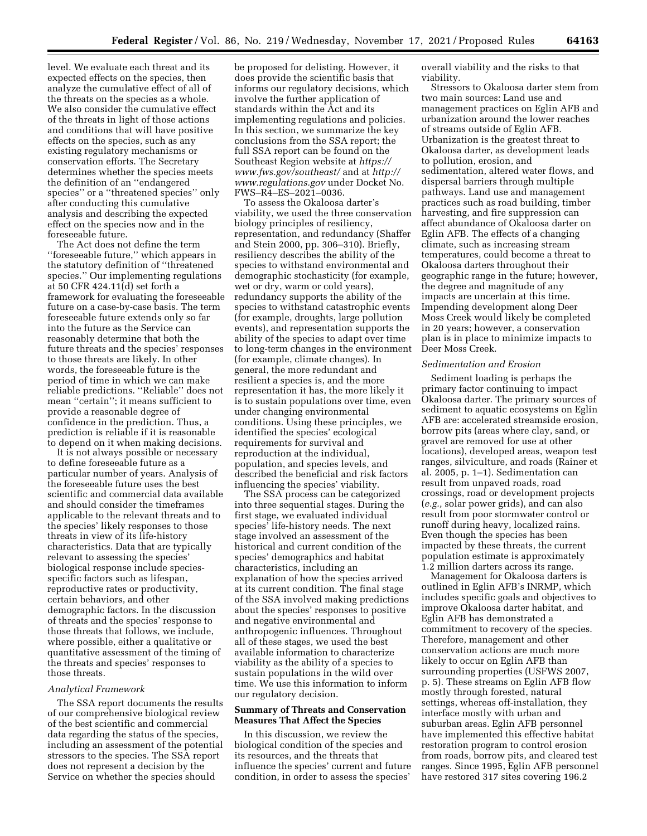level. We evaluate each threat and its expected effects on the species, then analyze the cumulative effect of all of the threats on the species as a whole. We also consider the cumulative effect of the threats in light of those actions and conditions that will have positive effects on the species, such as any existing regulatory mechanisms or conservation efforts. The Secretary determines whether the species meets the definition of an ''endangered species'' or a ''threatened species'' only after conducting this cumulative analysis and describing the expected effect on the species now and in the foreseeable future.

The Act does not define the term ''foreseeable future,'' which appears in the statutory definition of ''threatened species.'' Our implementing regulations at 50 CFR 424.11(d) set forth a framework for evaluating the foreseeable future on a case-by-case basis. The term foreseeable future extends only so far into the future as the Service can reasonably determine that both the future threats and the species' responses to those threats are likely. In other words, the foreseeable future is the period of time in which we can make reliable predictions. ''Reliable'' does not mean ''certain''; it means sufficient to provide a reasonable degree of confidence in the prediction. Thus, a prediction is reliable if it is reasonable to depend on it when making decisions.

It is not always possible or necessary to define foreseeable future as a particular number of years. Analysis of the foreseeable future uses the best scientific and commercial data available and should consider the timeframes applicable to the relevant threats and to the species' likely responses to those threats in view of its life-history characteristics. Data that are typically relevant to assessing the species' biological response include speciesspecific factors such as lifespan, reproductive rates or productivity, certain behaviors, and other demographic factors. In the discussion of threats and the species' response to those threats that follows, we include, where possible, either a qualitative or quantitative assessment of the timing of the threats and species' responses to those threats.

#### *Analytical Framework*

The SSA report documents the results of our comprehensive biological review of the best scientific and commercial data regarding the status of the species, including an assessment of the potential stressors to the species. The SSA report does not represent a decision by the Service on whether the species should

be proposed for delisting. However, it does provide the scientific basis that informs our regulatory decisions, which involve the further application of standards within the Act and its implementing regulations and policies. In this section, we summarize the key conclusions from the SSA report; the full SSA report can be found on the Southeast Region website at *[https://](https://www.fws.gov/southeast/) [www.fws.gov/southeast/](https://www.fws.gov/southeast/)* and at *[http://](http://www.regulations.gov) [www.regulations.gov](http://www.regulations.gov)* under Docket No. FWS–R4–ES–2021–0036.

To assess the Okaloosa darter's viability, we used the three conservation biology principles of resiliency, representation, and redundancy (Shaffer and Stein 2000, pp. 306–310). Briefly, resiliency describes the ability of the species to withstand environmental and demographic stochasticity (for example, wet or dry, warm or cold years), redundancy supports the ability of the species to withstand catastrophic events (for example, droughts, large pollution events), and representation supports the ability of the species to adapt over time to long-term changes in the environment (for example, climate changes). In general, the more redundant and resilient a species is, and the more representation it has, the more likely it is to sustain populations over time, even under changing environmental conditions. Using these principles, we identified the species' ecological requirements for survival and reproduction at the individual, population, and species levels, and described the beneficial and risk factors influencing the species' viability.

The SSA process can be categorized into three sequential stages. During the first stage, we evaluated individual species' life-history needs. The next stage involved an assessment of the historical and current condition of the species' demographics and habitat characteristics, including an explanation of how the species arrived at its current condition. The final stage of the SSA involved making predictions about the species' responses to positive and negative environmental and anthropogenic influences. Throughout all of these stages, we used the best available information to characterize viability as the ability of a species to sustain populations in the wild over time. We use this information to inform our regulatory decision.

## **Summary of Threats and Conservation Measures That Affect the Species**

In this discussion, we review the biological condition of the species and its resources, and the threats that influence the species' current and future condition, in order to assess the species'

overall viability and the risks to that viability.

Stressors to Okaloosa darter stem from two main sources: Land use and management practices on Eglin AFB and urbanization around the lower reaches of streams outside of Eglin AFB. Urbanization is the greatest threat to Okaloosa darter, as development leads to pollution, erosion, and sedimentation, altered water flows, and dispersal barriers through multiple pathways. Land use and management practices such as road building, timber harvesting, and fire suppression can affect abundance of Okaloosa darter on Eglin AFB. The effects of a changing climate, such as increasing stream temperatures, could become a threat to Okaloosa darters throughout their geographic range in the future; however, the degree and magnitude of any impacts are uncertain at this time. Impending development along Deer Moss Creek would likely be completed in 20 years; however, a conservation plan is in place to minimize impacts to Deer Moss Creek.

## *Sedimentation and Erosion*

Sediment loading is perhaps the primary factor continuing to impact Okaloosa darter. The primary sources of sediment to aquatic ecosystems on Eglin AFB are: accelerated streamside erosion, borrow pits (areas where clay, sand, or gravel are removed for use at other locations), developed areas, weapon test ranges, silviculture, and roads (Rainer et al. 2005, p. 1–1). Sedimentation can result from unpaved roads, road crossings, road or development projects (*e.g.,* solar power grids), and can also result from poor stormwater control or runoff during heavy, localized rains. Even though the species has been impacted by these threats, the current population estimate is approximately 1.2 million darters across its range.

Management for Okaloosa darters is outlined in Eglin AFB's INRMP, which includes specific goals and objectives to improve Okaloosa darter habitat, and Eglin AFB has demonstrated a commitment to recovery of the species. Therefore, management and other conservation actions are much more likely to occur on Eglin AFB than surrounding properties (USFWS 2007, p. 5). These streams on Eglin AFB flow mostly through forested, natural settings, whereas off-installation, they interface mostly with urban and suburban areas. Eglin AFB personnel have implemented this effective habitat restoration program to control erosion from roads, borrow pits, and cleared test ranges. Since 1995, Eglin AFB personnel have restored 317 sites covering 196.2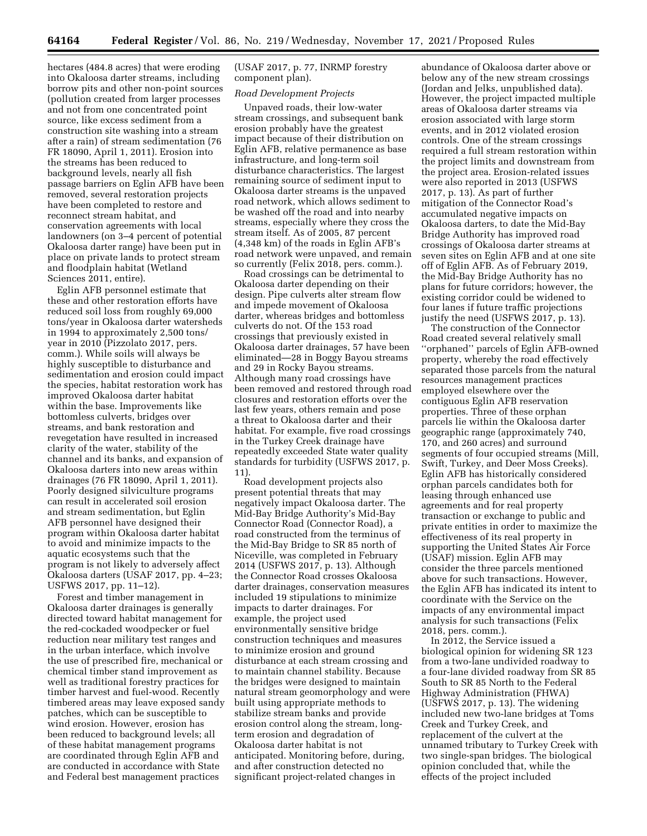hectares (484.8 acres) that were eroding into Okaloosa darter streams, including borrow pits and other non-point sources (pollution created from larger processes and not from one concentrated point source, like excess sediment from a construction site washing into a stream after a rain) of stream sedimentation (76 FR 18090, April 1, 2011). Erosion into the streams has been reduced to background levels, nearly all fish passage barriers on Eglin AFB have been removed, several restoration projects have been completed to restore and reconnect stream habitat, and conservation agreements with local landowners (on 3–4 percent of potential Okaloosa darter range) have been put in place on private lands to protect stream and floodplain habitat (Wetland Sciences 2011, entire).

Eglin AFB personnel estimate that these and other restoration efforts have reduced soil loss from roughly 69,000 tons/year in Okaloosa darter watersheds in 1994 to approximately 2,500 tons/ year in 2010 (Pizzolato 2017, pers. comm.). While soils will always be highly susceptible to disturbance and sedimentation and erosion could impact the species, habitat restoration work has improved Okaloosa darter habitat within the base. Improvements like bottomless culverts, bridges over streams, and bank restoration and revegetation have resulted in increased clarity of the water, stability of the channel and its banks, and expansion of Okaloosa darters into new areas within drainages (76 FR 18090, April 1, 2011). Poorly designed silviculture programs can result in accelerated soil erosion and stream sedimentation, but Eglin AFB personnel have designed their program within Okaloosa darter habitat to avoid and minimize impacts to the aquatic ecosystems such that the program is not likely to adversely affect Okaloosa darters (USAF 2017, pp. 4–23; USFWS 2017, pp. 11–12).

Forest and timber management in Okaloosa darter drainages is generally directed toward habitat management for the red-cockaded woodpecker or fuel reduction near military test ranges and in the urban interface, which involve the use of prescribed fire, mechanical or chemical timber stand improvement as well as traditional forestry practices for timber harvest and fuel-wood. Recently timbered areas may leave exposed sandy patches, which can be susceptible to wind erosion. However, erosion has been reduced to background levels; all of these habitat management programs are coordinated through Eglin AFB and are conducted in accordance with State and Federal best management practices

(USAF 2017, p. 77, INRMP forestry component plan).

#### *Road Development Projects*

Unpaved roads, their low-water stream crossings, and subsequent bank erosion probably have the greatest impact because of their distribution on Eglin AFB, relative permanence as base infrastructure, and long-term soil disturbance characteristics. The largest remaining source of sediment input to Okaloosa darter streams is the unpaved road network, which allows sediment to be washed off the road and into nearby streams, especially where they cross the stream itself. As of 2005, 87 percent (4,348 km) of the roads in Eglin AFB's road network were unpaved, and remain so currently (Felix 2018, pers. comm.).

Road crossings can be detrimental to Okaloosa darter depending on their design. Pipe culverts alter stream flow and impede movement of Okaloosa darter, whereas bridges and bottomless culverts do not. Of the 153 road crossings that previously existed in Okaloosa darter drainages, 57 have been eliminated—28 in Boggy Bayou streams and 29 in Rocky Bayou streams. Although many road crossings have been removed and restored through road closures and restoration efforts over the last few years, others remain and pose a threat to Okaloosa darter and their habitat. For example, five road crossings in the Turkey Creek drainage have repeatedly exceeded State water quality standards for turbidity (USFWS 2017, p. 11).

Road development projects also present potential threats that may negatively impact Okaloosa darter. The Mid-Bay Bridge Authority's Mid-Bay Connector Road (Connector Road), a road constructed from the terminus of the Mid-Bay Bridge to SR 85 north of Niceville, was completed in February 2014 (USFWS 2017, p. 13). Although the Connector Road crosses Okaloosa darter drainages, conservation measures included 19 stipulations to minimize impacts to darter drainages. For example, the project used environmentally sensitive bridge construction techniques and measures to minimize erosion and ground disturbance at each stream crossing and to maintain channel stability. Because the bridges were designed to maintain natural stream geomorphology and were built using appropriate methods to stabilize stream banks and provide erosion control along the stream, longterm erosion and degradation of Okaloosa darter habitat is not anticipated. Monitoring before, during, and after construction detected no significant project-related changes in

abundance of Okaloosa darter above or below any of the new stream crossings (Jordan and Jelks, unpublished data). However, the project impacted multiple areas of Okaloosa darter streams via erosion associated with large storm events, and in 2012 violated erosion controls. One of the stream crossings required a full stream restoration within the project limits and downstream from the project area. Erosion-related issues were also reported in 2013 (USFWS 2017, p. 13). As part of further mitigation of the Connector Road's accumulated negative impacts on Okaloosa darters, to date the Mid-Bay Bridge Authority has improved road crossings of Okaloosa darter streams at seven sites on Eglin AFB and at one site off of Eglin AFB. As of February 2019, the Mid-Bay Bridge Authority has no plans for future corridors; however, the existing corridor could be widened to four lanes if future traffic projections justify the need (USFWS 2017, p. 13).

The construction of the Connector Road created several relatively small ''orphaned'' parcels of Eglin AFB-owned property, whereby the road effectively separated those parcels from the natural resources management practices employed elsewhere over the contiguous Eglin AFB reservation properties. Three of these orphan parcels lie within the Okaloosa darter geographic range (approximately 740, 170, and 260 acres) and surround segments of four occupied streams (Mill, Swift, Turkey, and Deer Moss Creeks). Eglin AFB has historically considered orphan parcels candidates both for leasing through enhanced use agreements and for real property transaction or exchange to public and private entities in order to maximize the effectiveness of its real property in supporting the United States Air Force (USAF) mission. Eglin AFB may consider the three parcels mentioned above for such transactions. However, the Eglin AFB has indicated its intent to coordinate with the Service on the impacts of any environmental impact analysis for such transactions (Felix 2018, pers. comm.).

In 2012, the Service issued a biological opinion for widening SR 123 from a two-lane undivided roadway to a four-lane divided roadway from SR 85 South to SR 85 North to the Federal Highway Administration (FHWA) (USFWS 2017, p. 13). The widening included new two-lane bridges at Toms Creek and Turkey Creek, and replacement of the culvert at the unnamed tributary to Turkey Creek with two single-span bridges. The biological opinion concluded that, while the effects of the project included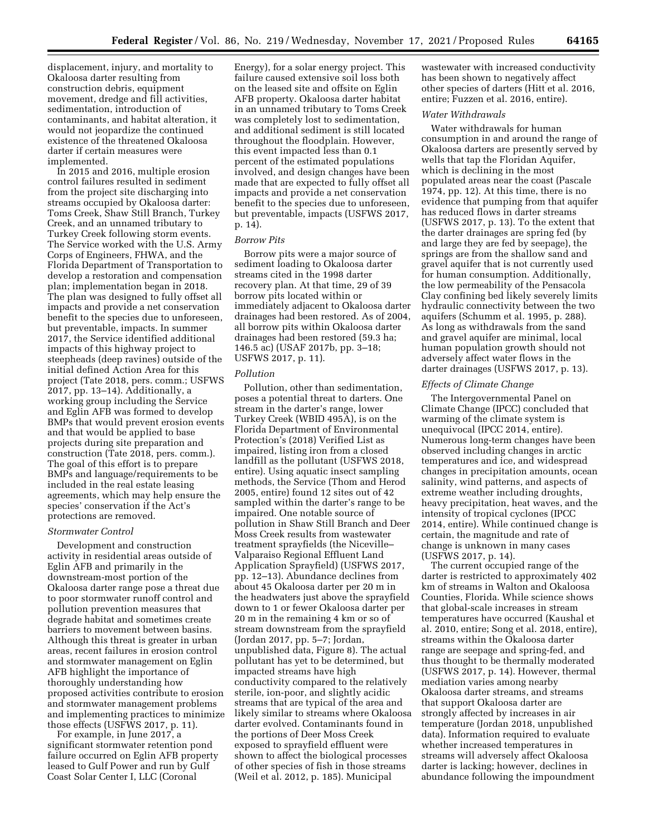displacement, injury, and mortality to Okaloosa darter resulting from construction debris, equipment movement, dredge and fill activities, sedimentation, introduction of contaminants, and habitat alteration, it would not jeopardize the continued existence of the threatened Okaloosa darter if certain measures were implemented.

In 2015 and 2016, multiple erosion control failures resulted in sediment from the project site discharging into streams occupied by Okaloosa darter: Toms Creek, Shaw Still Branch, Turkey Creek, and an unnamed tributary to Turkey Creek following storm events. The Service worked with the U.S. Army Corps of Engineers, FHWA, and the Florida Department of Transportation to develop a restoration and compensation plan; implementation began in 2018. The plan was designed to fully offset all impacts and provide a net conservation benefit to the species due to unforeseen, but preventable, impacts. In summer 2017, the Service identified additional impacts of this highway project to steepheads (deep ravines) outside of the initial defined Action Area for this project (Tate 2018, pers. comm.; USFWS 2017, pp. 13–14). Additionally, a working group including the Service and Eglin AFB was formed to develop BMPs that would prevent erosion events and that would be applied to base projects during site preparation and construction (Tate 2018, pers. comm.). The goal of this effort is to prepare BMPs and language/requirements to be included in the real estate leasing agreements, which may help ensure the species' conservation if the Act's protections are removed.

#### *Stormwater Control*

Development and construction activity in residential areas outside of Eglin AFB and primarily in the downstream-most portion of the Okaloosa darter range pose a threat due to poor stormwater runoff control and pollution prevention measures that degrade habitat and sometimes create barriers to movement between basins. Although this threat is greater in urban areas, recent failures in erosion control and stormwater management on Eglin AFB highlight the importance of thoroughly understanding how proposed activities contribute to erosion and stormwater management problems and implementing practices to minimize those effects (USFWS 2017, p. 11).

For example, in June 2017, a significant stormwater retention pond failure occurred on Eglin AFB property leased to Gulf Power and run by Gulf Coast Solar Center I, LLC (Coronal

Energy), for a solar energy project. This failure caused extensive soil loss both on the leased site and offsite on Eglin AFB property. Okaloosa darter habitat in an unnamed tributary to Toms Creek was completely lost to sedimentation, and additional sediment is still located throughout the floodplain. However, this event impacted less than 0.1 percent of the estimated populations involved, and design changes have been made that are expected to fully offset all impacts and provide a net conservation benefit to the species due to unforeseen, but preventable, impacts (USFWS 2017, p. 14).

#### *Borrow Pits*

Borrow pits were a major source of sediment loading to Okaloosa darter streams cited in the 1998 darter recovery plan. At that time, 29 of 39 borrow pits located within or immediately adjacent to Okaloosa darter drainages had been restored. As of 2004, all borrow pits within Okaloosa darter drainages had been restored (59.3 ha; 146.5 ac) (USAF 2017b, pp. 3–18; USFWS 2017, p. 11).

# *Pollution*

Pollution, other than sedimentation, poses a potential threat to darters. One stream in the darter's range, lower Turkey Creek (WBID 495A), is on the Florida Department of Environmental Protection's (2018) Verified List as impaired, listing iron from a closed landfill as the pollutant (USFWS 2018, entire). Using aquatic insect sampling methods, the Service (Thom and Herod 2005, entire) found 12 sites out of 42 sampled within the darter's range to be impaired. One notable source of pollution in Shaw Still Branch and Deer Moss Creek results from wastewater treatment sprayfields (the Niceville– Valparaiso Regional Effluent Land Application Sprayfield) (USFWS 2017, pp. 12–13). Abundance declines from about 45 Okaloosa darter per 20 m in the headwaters just above the sprayfield down to 1 or fewer Okaloosa darter per 20 m in the remaining 4 km or so of stream downstream from the sprayfield (Jordan 2017, pp. 5–7; Jordan, unpublished data, Figure 8). The actual pollutant has yet to be determined, but impacted streams have high conductivity compared to the relatively sterile, ion-poor, and slightly acidic streams that are typical of the area and likely similar to streams where Okaloosa darter evolved. Contaminants found in the portions of Deer Moss Creek exposed to sprayfield effluent were shown to affect the biological processes of other species of fish in those streams (Weil et al. 2012, p. 185). Municipal

wastewater with increased conductivity has been shown to negatively affect other species of darters (Hitt et al. 2016, entire; Fuzzen et al. 2016, entire).

# *Water Withdrawals*

Water withdrawals for human consumption in and around the range of Okaloosa darters are presently served by wells that tap the Floridan Aquifer, which is declining in the most populated areas near the coast (Pascale 1974, pp. 12). At this time, there is no evidence that pumping from that aquifer has reduced flows in darter streams (USFWS 2017, p. 13). To the extent that the darter drainages are spring fed (by and large they are fed by seepage), the springs are from the shallow sand and gravel aquifer that is not currently used for human consumption. Additionally, the low permeability of the Pensacola Clay confining bed likely severely limits hydraulic connectivity between the two aquifers (Schumm et al. 1995, p. 288). As long as withdrawals from the sand and gravel aquifer are minimal, local human population growth should not adversely affect water flows in the darter drainages (USFWS 2017, p. 13).

#### *Effects of Climate Change*

The Intergovernmental Panel on Climate Change (IPCC) concluded that warming of the climate system is unequivocal (IPCC 2014, entire). Numerous long-term changes have been observed including changes in arctic temperatures and ice, and widespread changes in precipitation amounts, ocean salinity, wind patterns, and aspects of extreme weather including droughts, heavy precipitation, heat waves, and the intensity of tropical cyclones (IPCC 2014, entire). While continued change is certain, the magnitude and rate of change is unknown in many cases (USFWS 2017, p. 14).

The current occupied range of the darter is restricted to approximately 402 km of streams in Walton and Okaloosa Counties, Florida. While science shows that global-scale increases in stream temperatures have occurred (Kaushal et al. 2010, entire; Song et al. 2018, entire), streams within the Okaloosa darter range are seepage and spring-fed, and thus thought to be thermally moderated (USFWS 2017, p. 14). However, thermal mediation varies among nearby Okaloosa darter streams, and streams that support Okaloosa darter are strongly affected by increases in air temperature (Jordan 2018, unpublished data). Information required to evaluate whether increased temperatures in streams will adversely affect Okaloosa darter is lacking; however, declines in abundance following the impoundment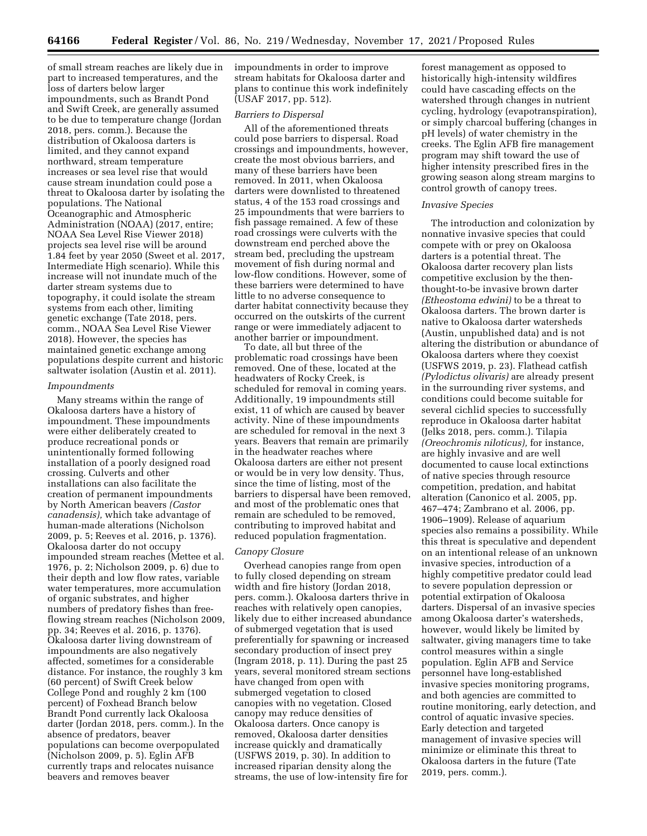of small stream reaches are likely due in part to increased temperatures, and the loss of darters below larger impoundments, such as Brandt Pond and Swift Creek, are generally assumed to be due to temperature change (Jordan 2018, pers. comm.). Because the distribution of Okaloosa darters is limited, and they cannot expand northward, stream temperature increases or sea level rise that would cause stream inundation could pose a threat to Okaloosa darter by isolating the populations. The National Oceanographic and Atmospheric Administration (NOAA) (2017, entire; NOAA Sea Level Rise Viewer 2018) projects sea level rise will be around 1.84 feet by year 2050 (Sweet et al. 2017, Intermediate High scenario). While this increase will not inundate much of the darter stream systems due to topography, it could isolate the stream systems from each other, limiting genetic exchange (Tate 2018, pers. comm., NOAA Sea Level Rise Viewer 2018). However, the species has maintained genetic exchange among populations despite current and historic saltwater isolation (Austin et al. 2011).

#### *Impoundments*

Many streams within the range of Okaloosa darters have a history of impoundment. These impoundments were either deliberately created to produce recreational ponds or unintentionally formed following installation of a poorly designed road crossing. Culverts and other installations can also facilitate the creation of permanent impoundments by North American beavers *(Castor canadensis),* which take advantage of human-made alterations (Nicholson 2009, p. 5; Reeves et al. 2016, p. 1376). Okaloosa darter do not occupy impounded stream reaches (Mettee et al. 1976, p. 2; Nicholson 2009, p. 6) due to their depth and low flow rates, variable water temperatures, more accumulation of organic substrates, and higher numbers of predatory fishes than freeflowing stream reaches (Nicholson 2009, pp. 34; Reeves et al. 2016, p. 1376). Okaloosa darter living downstream of impoundments are also negatively affected, sometimes for a considerable distance. For instance, the roughly 3 km (60 percent) of Swift Creek below College Pond and roughly 2 km (100 percent) of Foxhead Branch below Brandt Pond currently lack Okaloosa darter (Jordan 2018, pers. comm.). In the absence of predators, beaver populations can become overpopulated (Nicholson 2009, p. 5). Eglin AFB currently traps and relocates nuisance beavers and removes beaver

impoundments in order to improve stream habitats for Okaloosa darter and plans to continue this work indefinitely (USAF 2017, pp. 512).

#### *Barriers to Dispersal*

All of the aforementioned threats could pose barriers to dispersal. Road crossings and impoundments, however, create the most obvious barriers, and many of these barriers have been removed. In 2011, when Okaloosa darters were downlisted to threatened status, 4 of the 153 road crossings and 25 impoundments that were barriers to fish passage remained. A few of these road crossings were culverts with the downstream end perched above the stream bed, precluding the upstream movement of fish during normal and low-flow conditions. However, some of these barriers were determined to have little to no adverse consequence to darter habitat connectivity because they occurred on the outskirts of the current range or were immediately adjacent to another barrier or impoundment.

To date, all but three of the problematic road crossings have been removed. One of these, located at the headwaters of Rocky Creek, is scheduled for removal in coming years. Additionally, 19 impoundments still exist, 11 of which are caused by beaver activity. Nine of these impoundments are scheduled for removal in the next 3 years. Beavers that remain are primarily in the headwater reaches where Okaloosa darters are either not present or would be in very low density. Thus, since the time of listing, most of the barriers to dispersal have been removed, and most of the problematic ones that remain are scheduled to be removed, contributing to improved habitat and reduced population fragmentation.

## *Canopy Closure*

Overhead canopies range from open to fully closed depending on stream width and fire history (Jordan 2018, pers. comm.). Okaloosa darters thrive in reaches with relatively open canopies, likely due to either increased abundance of submerged vegetation that is used preferentially for spawning or increased secondary production of insect prey (Ingram 2018, p. 11). During the past 25 years, several monitored stream sections have changed from open with submerged vegetation to closed canopies with no vegetation. Closed canopy may reduce densities of Okaloosa darters. Once canopy is removed, Okaloosa darter densities increase quickly and dramatically (USFWS 2019, p. 30). In addition to increased riparian density along the streams, the use of low-intensity fire for

forest management as opposed to historically high-intensity wildfires could have cascading effects on the watershed through changes in nutrient cycling, hydrology (evapotranspiration), or simply charcoal buffering (changes in pH levels) of water chemistry in the creeks. The Eglin AFB fire management program may shift toward the use of higher intensity prescribed fires in the growing season along stream margins to control growth of canopy trees.

#### *Invasive Species*

The introduction and colonization by nonnative invasive species that could compete with or prey on Okaloosa darters is a potential threat. The Okaloosa darter recovery plan lists competitive exclusion by the thenthought-to-be invasive brown darter *(Etheostoma edwini)* to be a threat to Okaloosa darters. The brown darter is native to Okaloosa darter watersheds (Austin, unpublished data) and is not altering the distribution or abundance of Okaloosa darters where they coexist (USFWS 2019, p. 23). Flathead catfish *(Pylodictus olivaris)* are already present in the surrounding river systems, and conditions could become suitable for several cichlid species to successfully reproduce in Okaloosa darter habitat (Jelks 2018, pers. comm.). Tilapia *(Oreochromis niloticus),* for instance, are highly invasive and are well documented to cause local extinctions of native species through resource competition, predation, and habitat alteration (Canonico et al. 2005, pp. 467–474; Zambrano et al. 2006, pp. 1906–1909). Release of aquarium species also remains a possibility. While this threat is speculative and dependent on an intentional release of an unknown invasive species, introduction of a highly competitive predator could lead to severe population depression or potential extirpation of Okaloosa darters. Dispersal of an invasive species among Okaloosa darter's watersheds, however, would likely be limited by saltwater, giving managers time to take control measures within a single population. Eglin AFB and Service personnel have long-established invasive species monitoring programs, and both agencies are committed to routine monitoring, early detection, and control of aquatic invasive species. Early detection and targeted management of invasive species will minimize or eliminate this threat to Okaloosa darters in the future (Tate 2019, pers. comm.).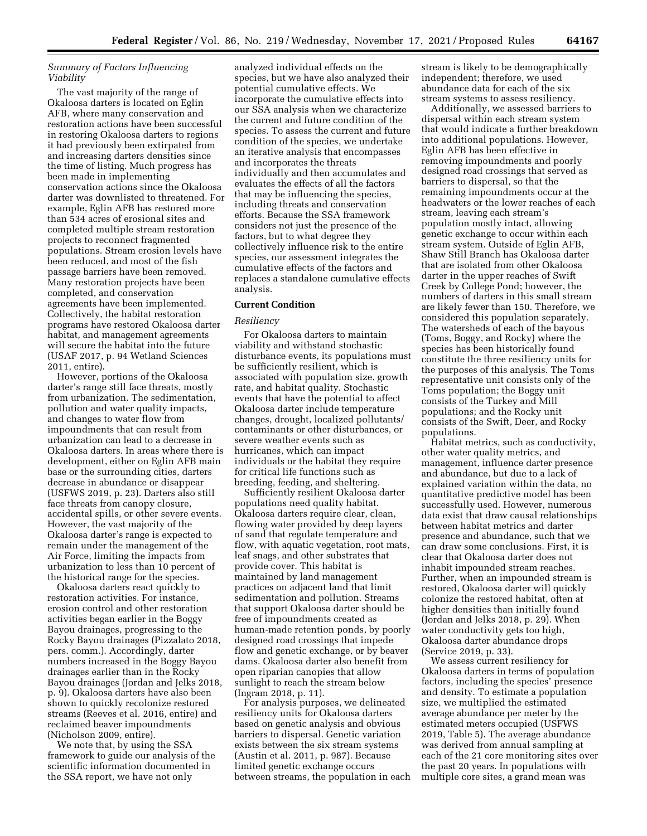# *Summary of Factors Influencing Viability*

The vast majority of the range of Okaloosa darters is located on Eglin AFB, where many conservation and restoration actions have been successful in restoring Okaloosa darters to regions it had previously been extirpated from and increasing darters densities since the time of listing. Much progress has been made in implementing conservation actions since the Okaloosa darter was downlisted to threatened. For example, Eglin AFB has restored more than 534 acres of erosional sites and completed multiple stream restoration projects to reconnect fragmented populations. Stream erosion levels have been reduced, and most of the fish passage barriers have been removed. Many restoration projects have been completed, and conservation agreements have been implemented. Collectively, the habitat restoration programs have restored Okaloosa darter habitat, and management agreements will secure the habitat into the future (USAF 2017, p. 94 Wetland Sciences 2011, entire).

However, portions of the Okaloosa darter's range still face threats, mostly from urbanization. The sedimentation, pollution and water quality impacts, and changes to water flow from impoundments that can result from urbanization can lead to a decrease in Okaloosa darters. In areas where there is development, either on Eglin AFB main base or the surrounding cities, darters decrease in abundance or disappear (USFWS 2019, p. 23). Darters also still face threats from canopy closure, accidental spills, or other severe events. However, the vast majority of the Okaloosa darter's range is expected to remain under the management of the Air Force, limiting the impacts from urbanization to less than 10 percent of the historical range for the species.

Okaloosa darters react quickly to restoration activities. For instance, erosion control and other restoration activities began earlier in the Boggy Bayou drainages, progressing to the Rocky Bayou drainages (Pizzalato 2018, pers. comm.). Accordingly, darter numbers increased in the Boggy Bayou drainages earlier than in the Rocky Bayou drainages (Jordan and Jelks 2018, p. 9). Okaloosa darters have also been shown to quickly recolonize restored streams (Reeves et al. 2016, entire) and reclaimed beaver impoundments (Nicholson 2009, entire).

We note that, by using the SSA framework to guide our analysis of the scientific information documented in the SSA report, we have not only

analyzed individual effects on the species, but we have also analyzed their potential cumulative effects. We incorporate the cumulative effects into our SSA analysis when we characterize the current and future condition of the species. To assess the current and future condition of the species, we undertake an iterative analysis that encompasses and incorporates the threats individually and then accumulates and evaluates the effects of all the factors that may be influencing the species, including threats and conservation efforts. Because the SSA framework considers not just the presence of the factors, but to what degree they collectively influence risk to the entire species, our assessment integrates the cumulative effects of the factors and replaces a standalone cumulative effects analysis.

# **Current Condition**

## *Resiliency*

For Okaloosa darters to maintain viability and withstand stochastic disturbance events, its populations must be sufficiently resilient, which is associated with population size, growth rate, and habitat quality. Stochastic events that have the potential to affect Okaloosa darter include temperature changes, drought, localized pollutants/ contaminants or other disturbances, or severe weather events such as hurricanes, which can impact individuals or the habitat they require for critical life functions such as breeding, feeding, and sheltering.

Sufficiently resilient Okaloosa darter populations need quality habitat. Okaloosa darters require clear, clean, flowing water provided by deep layers of sand that regulate temperature and flow, with aquatic vegetation, root mats, leaf snags, and other substrates that provide cover. This habitat is maintained by land management practices on adjacent land that limit sedimentation and pollution. Streams that support Okaloosa darter should be free of impoundments created as human-made retention ponds, by poorly designed road crossings that impede flow and genetic exchange, or by beaver dams. Okaloosa darter also benefit from open riparian canopies that allow sunlight to reach the stream below (Ingram 2018, p. 11).

For analysis purposes, we delineated resiliency units for Okaloosa darters based on genetic analysis and obvious barriers to dispersal. Genetic variation exists between the six stream systems (Austin et al. 2011, p. 987). Because limited genetic exchange occurs between streams, the population in each

stream is likely to be demographically independent; therefore, we used abundance data for each of the six stream systems to assess resiliency.

Additionally, we assessed barriers to dispersal within each stream system that would indicate a further breakdown into additional populations. However, Eglin AFB has been effective in removing impoundments and poorly designed road crossings that served as barriers to dispersal, so that the remaining impoundments occur at the headwaters or the lower reaches of each stream, leaving each stream's population mostly intact, allowing genetic exchange to occur within each stream system. Outside of Eglin AFB, Shaw Still Branch has Okaloosa darter that are isolated from other Okaloosa darter in the upper reaches of Swift Creek by College Pond; however, the numbers of darters in this small stream are likely fewer than 150. Therefore, we considered this population separately. The watersheds of each of the bayous (Toms, Boggy, and Rocky) where the species has been historically found constitute the three resiliency units for the purposes of this analysis. The Toms representative unit consists only of the Toms population; the Boggy unit consists of the Turkey and Mill populations; and the Rocky unit consists of the Swift, Deer, and Rocky populations.

Habitat metrics, such as conductivity, other water quality metrics, and management, influence darter presence and abundance, but due to a lack of explained variation within the data, no quantitative predictive model has been successfully used. However, numerous data exist that draw causal relationships between habitat metrics and darter presence and abundance, such that we can draw some conclusions. First, it is clear that Okaloosa darter does not inhabit impounded stream reaches. Further, when an impounded stream is restored, Okaloosa darter will quickly colonize the restored habitat, often at higher densities than initially found (Jordan and Jelks 2018, p. 29). When water conductivity gets too high, Okaloosa darter abundance drops (Service 2019, p. 33).

We assess current resiliency for Okaloosa darters in terms of population factors, including the species' presence and density. To estimate a population size, we multiplied the estimated average abundance per meter by the estimated meters occupied (USFWS 2019, Table 5). The average abundance was derived from annual sampling at each of the 21 core monitoring sites over the past 20 years. In populations with multiple core sites, a grand mean was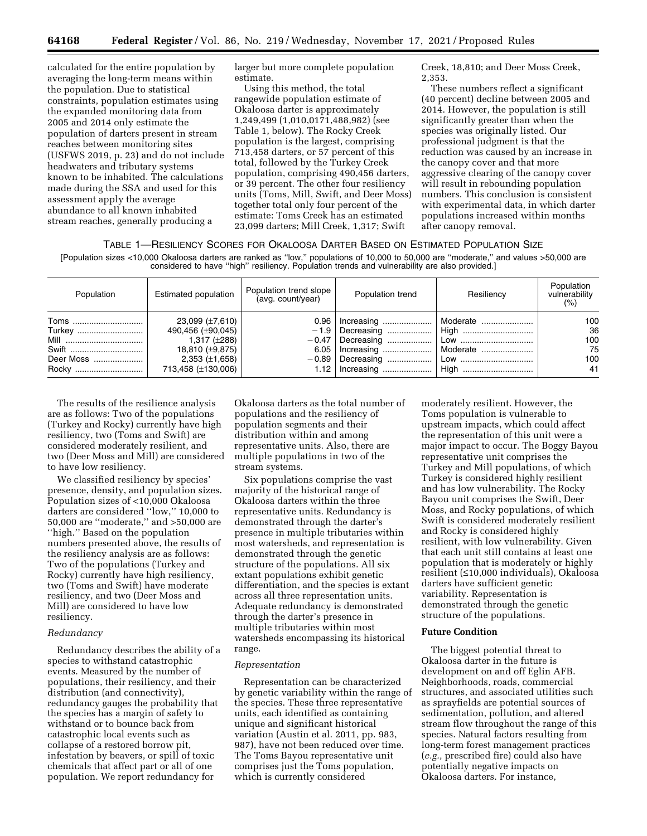calculated for the entire population by averaging the long-term means within the population. Due to statistical constraints, population estimates using the expanded monitoring data from 2005 and 2014 only estimate the population of darters present in stream reaches between monitoring sites (USFWS 2019, p. 23) and do not include headwaters and tributary systems known to be inhabited. The calculations made during the SSA and used for this assessment apply the average abundance to all known inhabited stream reaches, generally producing a

larger but more complete population estimate.

Using this method, the total rangewide population estimate of Okaloosa darter is approximately 1,249,499 (1,010,0171,488,982) (see Table 1, below). The Rocky Creek population is the largest, comprising 713,458 darters, or 57 percent of this total, followed by the Turkey Creek population, comprising 490,456 darters, or 39 percent. The other four resiliency units (Toms, Mill, Swift, and Deer Moss) together total only four percent of the estimate: Toms Creek has an estimated 23,099 darters; Mill Creek, 1,317; Swift

Creek, 18,810; and Deer Moss Creek, 2,353.

These numbers reflect a significant (40 percent) decline between 2005 and 2014. However, the population is still significantly greater than when the species was originally listed. Our professional judgment is that the reduction was caused by an increase in the canopy cover and that more aggressive clearing of the canopy cover will result in rebounding population numbers. This conclusion is consistent with experimental data, in which darter populations increased within months after canopy removal.

## TABLE 1—RESILIENCY SCORES FOR OKALOOSA DARTER BASED ON ESTIMATED POPULATION SIZE

[Population sizes <10,000 Okaloosa darters are ranked as ''low,'' populations of 10,000 to 50,000 are ''moderate,'' and values >50,000 are considered to have ''high'' resiliency. Population trends and vulnerability are also provided.]

| Population                                   | Estimated population                                                                                                        | Population trend slope<br>(avg. count/year) | Population trend              | Resiliency | Population<br>vulnerability<br>(% ) |
|----------------------------------------------|-----------------------------------------------------------------------------------------------------------------------------|---------------------------------------------|-------------------------------|------------|-------------------------------------|
| Toms<br>Turkey<br>Mill<br>Swift<br>Deer Moss | 23,099 (±7,610)<br>490,456 (±90,045)<br>1,317 $(\pm 288)$<br>18,810 (±9,875)<br>$2,353 \ (\pm 1,658)$<br>713,458 (±130,006) |                                             | 6.05   Increasing    Moderate | Moderate   | 100<br>36<br>100<br>75<br>100<br>41 |

The results of the resilience analysis are as follows: Two of the populations (Turkey and Rocky) currently have high resiliency, two (Toms and Swift) are considered moderately resilient, and two (Deer Moss and Mill) are considered to have low resiliency.

We classified resiliency by species' presence, density, and population sizes. Population sizes of <10,000 Okaloosa darters are considered ''low,'' 10,000 to 50,000 are ''moderate,'' and >50,000 are ''high.'' Based on the population numbers presented above, the results of the resiliency analysis are as follows: Two of the populations (Turkey and Rocky) currently have high resiliency, two (Toms and Swift) have moderate resiliency, and two (Deer Moss and Mill) are considered to have low resiliency.

## *Redundancy*

Redundancy describes the ability of a species to withstand catastrophic events. Measured by the number of populations, their resiliency, and their distribution (and connectivity), redundancy gauges the probability that the species has a margin of safety to withstand or to bounce back from catastrophic local events such as collapse of a restored borrow pit, infestation by beavers, or spill of toxic chemicals that affect part or all of one population. We report redundancy for

Okaloosa darters as the total number of populations and the resiliency of population segments and their distribution within and among representative units. Also, there are multiple populations in two of the stream systems.

Six populations comprise the vast majority of the historical range of Okaloosa darters within the three representative units. Redundancy is demonstrated through the darter's presence in multiple tributaries within most watersheds, and representation is demonstrated through the genetic structure of the populations. All six extant populations exhibit genetic differentiation, and the species is extant across all three representation units. Adequate redundancy is demonstrated through the darter's presence in multiple tributaries within most watersheds encompassing its historical range.

#### *Representation*

Representation can be characterized by genetic variability within the range of the species. These three representative units, each identified as containing unique and significant historical variation (Austin et al. 2011, pp. 983, 987), have not been reduced over time. The Toms Bayou representative unit comprises just the Toms population, which is currently considered

moderately resilient. However, the Toms population is vulnerable to upstream impacts, which could affect the representation of this unit were a major impact to occur. The Boggy Bayou representative unit comprises the Turkey and Mill populations, of which Turkey is considered highly resilient and has low vulnerability. The Rocky Bayou unit comprises the Swift, Deer Moss, and Rocky populations, of which Swift is considered moderately resilient and Rocky is considered highly resilient, with low vulnerability. Given that each unit still contains at least one population that is moderately or highly resilient (≤10,000 individuals), Okaloosa darters have sufficient genetic variability. Representation is demonstrated through the genetic structure of the populations.

## **Future Condition**

The biggest potential threat to Okaloosa darter in the future is development on and off Eglin AFB. Neighborhoods, roads, commercial structures, and associated utilities such as sprayfields are potential sources of sedimentation, pollution, and altered stream flow throughout the range of this species. Natural factors resulting from long-term forest management practices (*e.g.,* prescribed fire) could also have potentially negative impacts on Okaloosa darters. For instance,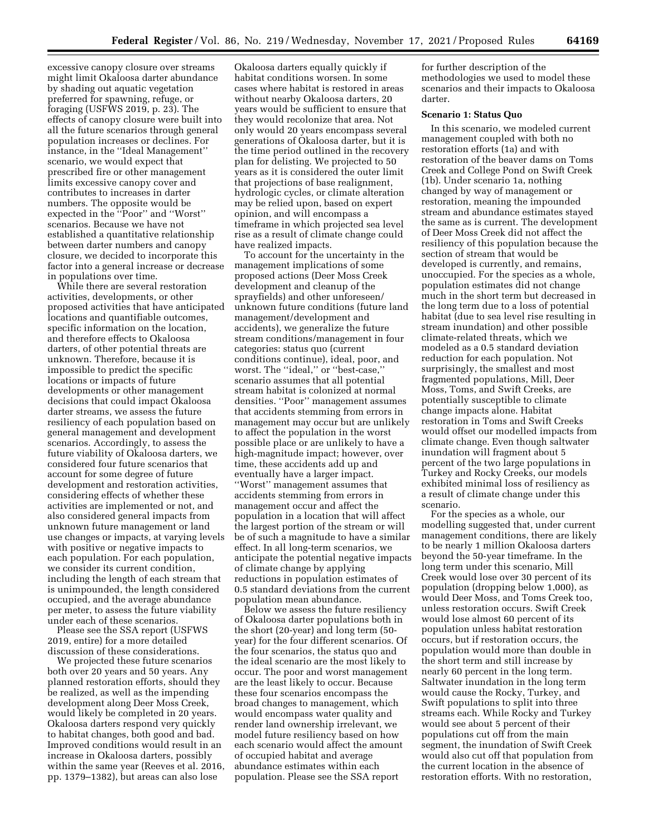excessive canopy closure over streams might limit Okaloosa darter abundance by shading out aquatic vegetation preferred for spawning, refuge, or foraging (USFWS 2019, p. 23). The effects of canopy closure were built into all the future scenarios through general population increases or declines. For instance, in the ''Ideal Management'' scenario, we would expect that prescribed fire or other management limits excessive canopy cover and contributes to increases in darter numbers. The opposite would be expected in the ''Poor'' and ''Worst'' scenarios. Because we have not established a quantitative relationship between darter numbers and canopy closure, we decided to incorporate this factor into a general increase or decrease in populations over time.

While there are several restoration activities, developments, or other proposed activities that have anticipated locations and quantifiable outcomes, specific information on the location, and therefore effects to Okaloosa darters, of other potential threats are unknown. Therefore, because it is impossible to predict the specific locations or impacts of future developments or other management decisions that could impact Okaloosa darter streams, we assess the future resiliency of each population based on general management and development scenarios. Accordingly, to assess the future viability of Okaloosa darters, we considered four future scenarios that account for some degree of future development and restoration activities, considering effects of whether these activities are implemented or not, and also considered general impacts from unknown future management or land use changes or impacts, at varying levels with positive or negative impacts to each population. For each population, we consider its current condition, including the length of each stream that is unimpounded, the length considered occupied, and the average abundance per meter, to assess the future viability under each of these scenarios.

Please see the SSA report (USFWS 2019, entire) for a more detailed discussion of these considerations.

We projected these future scenarios both over 20 years and 50 years. Any planned restoration efforts, should they be realized, as well as the impending development along Deer Moss Creek, would likely be completed in 20 years. Okaloosa darters respond very quickly to habitat changes, both good and bad. Improved conditions would result in an increase in Okaloosa darters, possibly within the same year (Reeves et al. 2016, pp. 1379–1382), but areas can also lose

Okaloosa darters equally quickly if habitat conditions worsen. In some cases where habitat is restored in areas without nearby Okaloosa darters, 20 years would be sufficient to ensure that they would recolonize that area. Not only would 20 years encompass several generations of Okaloosa darter, but it is the time period outlined in the recovery plan for delisting. We projected to 50 years as it is considered the outer limit that projections of base realignment, hydrologic cycles, or climate alteration may be relied upon, based on expert opinion, and will encompass a timeframe in which projected sea level rise as a result of climate change could have realized impacts.

To account for the uncertainty in the management implications of some proposed actions (Deer Moss Creek development and cleanup of the sprayfields) and other unforeseen/ unknown future conditions (future land management/development and accidents), we generalize the future stream conditions/management in four categories: status quo (current conditions continue), ideal, poor, and worst. The ''ideal,'' or ''best-case,'' scenario assumes that all potential stream habitat is colonized at normal densities. ''Poor'' management assumes that accidents stemming from errors in management may occur but are unlikely to affect the population in the worst possible place or are unlikely to have a high-magnitude impact; however, over time, these accidents add up and eventually have a larger impact. ''Worst'' management assumes that accidents stemming from errors in management occur and affect the population in a location that will affect the largest portion of the stream or will be of such a magnitude to have a similar effect. In all long-term scenarios, we anticipate the potential negative impacts of climate change by applying reductions in population estimates of 0.5 standard deviations from the current population mean abundance.

Below we assess the future resiliency of Okaloosa darter populations both in the short (20-year) and long term (50 year) for the four different scenarios. Of the four scenarios, the status quo and the ideal scenario are the most likely to occur. The poor and worst management are the least likely to occur. Because these four scenarios encompass the broad changes to management, which would encompass water quality and render land ownership irrelevant, we model future resiliency based on how each scenario would affect the amount of occupied habitat and average abundance estimates within each population. Please see the SSA report

for further description of the methodologies we used to model these scenarios and their impacts to Okaloosa darter.

# **Scenario 1: Status Quo**

In this scenario, we modeled current management coupled with both no restoration efforts (1a) and with restoration of the beaver dams on Toms Creek and College Pond on Swift Creek (1b). Under scenario 1a, nothing changed by way of management or restoration, meaning the impounded stream and abundance estimates stayed the same as is current. The development of Deer Moss Creek did not affect the resiliency of this population because the section of stream that would be developed is currently, and remains, unoccupied. For the species as a whole, population estimates did not change much in the short term but decreased in the long term due to a loss of potential habitat (due to sea level rise resulting in stream inundation) and other possible climate-related threats, which we modeled as a 0.5 standard deviation reduction for each population. Not surprisingly, the smallest and most fragmented populations, Mill, Deer Moss, Toms, and Swift Creeks, are potentially susceptible to climate change impacts alone. Habitat restoration in Toms and Swift Creeks would offset our modelled impacts from climate change. Even though saltwater inundation will fragment about 5 percent of the two large populations in Turkey and Rocky Creeks, our models exhibited minimal loss of resiliency as a result of climate change under this scenario.

For the species as a whole, our modelling suggested that, under current management conditions, there are likely to be nearly 1 million Okaloosa darters beyond the 50-year timeframe. In the long term under this scenario, Mill Creek would lose over 30 percent of its population (dropping below 1,000), as would Deer Moss, and Toms Creek too, unless restoration occurs. Swift Creek would lose almost 60 percent of its population unless habitat restoration occurs, but if restoration occurs, the population would more than double in the short term and still increase by nearly 60 percent in the long term. Saltwater inundation in the long term would cause the Rocky, Turkey, and Swift populations to split into three streams each. While Rocky and Turkey would see about 5 percent of their populations cut off from the main segment, the inundation of Swift Creek would also cut off that population from the current location in the absence of restoration efforts. With no restoration,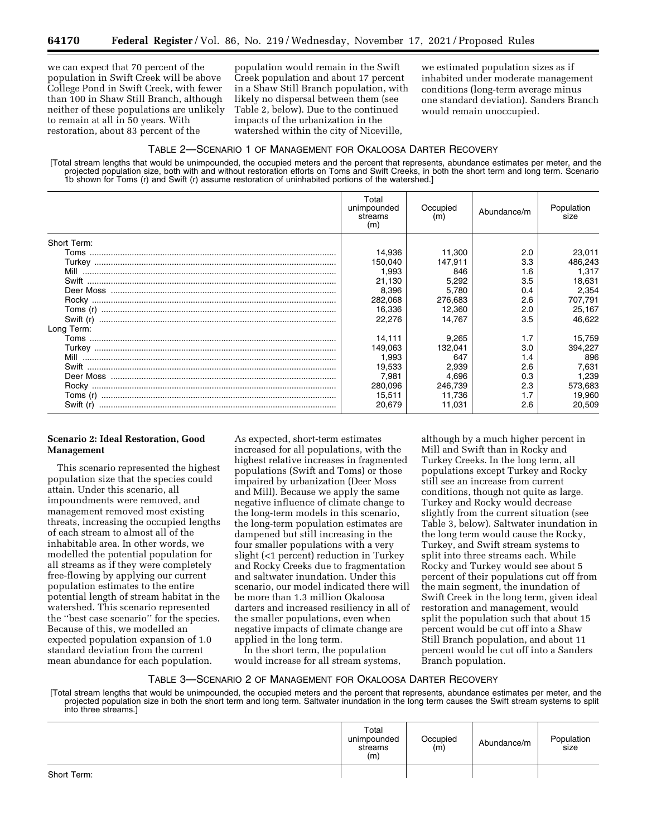we can expect that 70 percent of the population in Swift Creek will be above College Pond in Swift Creek, with fewer than 100 in Shaw Still Branch, although neither of these populations are unlikely to remain at all in 50 years. With restoration, about 83 percent of the

population would remain in the Swift Creek population and about 17 percent in a Shaw Still Branch population, with likely no dispersal between them (see Table 2, below). Due to the continued impacts of the urbanization in the watershed within the city of Niceville,

we estimated population sizes as if inhabited under moderate management conditions (long-term average minus one standard deviation). Sanders Branch would remain unoccupied.

# TABLE 2—SCENARIO 1 OF MANAGEMENT FOR OKALOOSA DARTER RECOVERY

[Total stream lengths that would be unimpounded, the occupied meters and the percent that represents, abundance estimates per meter, and the projected population size, both with and without restoration efforts on Toms and Swift Creeks, in both the short term and long term. Scenario 1b shown for Toms (r) and Swift (r) assume restoration of uninhabited portions of the watershed.]

|             | Total<br>unimpounded<br>streams<br>(m) | Occupied<br>(m) | Abundance/m | Population<br>size |
|-------------|----------------------------------------|-----------------|-------------|--------------------|
| Short Term: |                                        |                 |             |                    |
|             | 14,936                                 | 11,300          | 2.0         | 23,011             |
|             | 150.040                                | 147.911         | 3.3         | 486,243            |
|             | 1.993                                  | 846             | 1.6         | 1.317              |
|             | 21,130                                 | 5,292           | 3.5         | 18,631             |
|             | 8,396                                  | 5,780           | 0.4         | 2,354              |
|             | 282,068                                | 276,683         | 2.6         | 707,791            |
|             | 16,336                                 | 12,360          | 2.0         | 25,167             |
|             | 22.276                                 | 14.767          | 3.5         | 46.622             |
| Long Term:  |                                        |                 |             |                    |
|             | 14.111                                 | 9,265           | 1.7         | 15,759             |
|             | 149,063                                | 132.041         | 3.0         | 394,227            |
|             | 1,993                                  | 647             | 1.4         | 896                |
|             | 19,533                                 | 2,939           | 2.6         | 7,631              |
|             | 7,981                                  | 4,696           | 0.3         | 1,239              |
|             | 280.096                                | 246,739         | 2.3         | 573,683            |
|             | 15.511                                 | 11.736          |             | 19,960             |
|             | 20,679                                 | 11,031          | 2.6         | 20,509             |

# **Scenario 2: Ideal Restoration, Good Management**

This scenario represented the highest population size that the species could attain. Under this scenario, all impoundments were removed, and management removed most existing threats, increasing the occupied lengths of each stream to almost all of the inhabitable area. In other words, we modelled the potential population for all streams as if they were completely free-flowing by applying our current population estimates to the entire potential length of stream habitat in the watershed. This scenario represented the ''best case scenario'' for the species. Because of this, we modelled an expected population expansion of 1.0 standard deviation from the current mean abundance for each population.

As expected, short-term estimates increased for all populations, with the highest relative increases in fragmented populations (Swift and Toms) or those impaired by urbanization (Deer Moss and Mill). Because we apply the same negative influence of climate change to the long-term models in this scenario, the long-term population estimates are dampened but still increasing in the four smaller populations with a very slight (<1 percent) reduction in Turkey and Rocky Creeks due to fragmentation and saltwater inundation. Under this scenario, our model indicated there will be more than 1.3 million Okaloosa darters and increased resiliency in all of the smaller populations, even when negative impacts of climate change are applied in the long term.

In the short term, the population would increase for all stream systems,

although by a much higher percent in Mill and Swift than in Rocky and Turkey Creeks. In the long term, all populations except Turkey and Rocky still see an increase from current conditions, though not quite as large. Turkey and Rocky would decrease slightly from the current situation (see Table 3, below). Saltwater inundation in the long term would cause the Rocky, Turkey, and Swift stream systems to split into three streams each. While Rocky and Turkey would see about 5 percent of their populations cut off from the main segment, the inundation of Swift Creek in the long term, given ideal restoration and management, would split the population such that about 15 percent would be cut off into a Shaw Still Branch population, and about 11 percent would be cut off into a Sanders Branch population.

# TABLE 3—SCENARIO 2 OF MANAGEMENT FOR OKALOOSA DARTER RECOVERY

[Total stream lengths that would be unimpounded, the occupied meters and the percent that represents, abundance estimates per meter, and the projected population size in both the short term and long term. Saltwater inundation in the long term causes the Swift stream systems to split into three streams.]

|             | Total<br>unimpounded<br>streams<br>(m) | Occupied<br>(m) | Abundance/m | Population<br>size |
|-------------|----------------------------------------|-----------------|-------------|--------------------|
| Short Term: |                                        |                 |             |                    |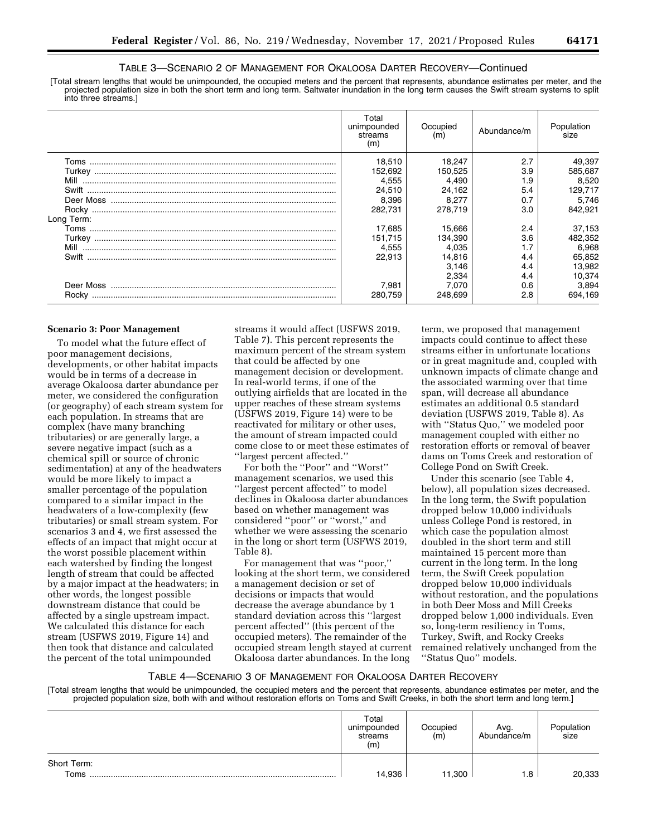# TABLE 3—SCENARIO 2 OF MANAGEMENT FOR OKALOOSA DARTER RECOVERY—Continued

[Total stream lengths that would be unimpounded, the occupied meters and the percent that represents, abundance estimates per meter, and the projected population size in both the short term and long term. Saltwater inundation in the long term causes the Swift stream systems to split into three streams.]

|            | Total<br>unimpounded<br>streams<br>(m) | Occupied<br>(m) | Abundance/m | Population<br>size |
|------------|----------------------------------------|-----------------|-------------|--------------------|
|            | 18,510                                 | 18,247          | 2.7         | 49,397             |
|            | 152,692                                | 150,525         | 3.9         | 585,687            |
|            | 4.555                                  | 4.490           | 1.9         | 8,520              |
|            | 24,510                                 | 24,162          | 5.4         | 129,717            |
|            | 8,396                                  | 8,277           | 0.7         | 5,746              |
|            | 282.731                                | 278.719         | 3.0         | 842,921            |
| Long Term: |                                        |                 |             |                    |
|            | 17,685                                 | 15,666          | 2.4         | 37,153             |
|            | 151.715                                | 134,390         | 3.6         | 482,352            |
|            | 4,555                                  | 4.035           |             | 6,968              |
|            | 22.913                                 | 14,816          | 4.4         | 65,852             |
|            |                                        | 3,146           | 4.4         | 13,982             |
|            |                                        | 2.334           | 4.4         | 10,374             |
|            | 7.981                                  | 7.070           | 0.6         | 3,894              |
|            | 280.759                                | 248.699         | 2.8         | 694.169            |

### **Scenario 3: Poor Management**

To model what the future effect of poor management decisions, developments, or other habitat impacts would be in terms of a decrease in average Okaloosa darter abundance per meter, we considered the configuration (or geography) of each stream system for each population. In streams that are complex (have many branching tributaries) or are generally large, a severe negative impact (such as a chemical spill or source of chronic sedimentation) at any of the headwaters would be more likely to impact a smaller percentage of the population compared to a similar impact in the headwaters of a low-complexity (few tributaries) or small stream system. For scenarios 3 and 4, we first assessed the effects of an impact that might occur at the worst possible placement within each watershed by finding the longest length of stream that could be affected by a major impact at the headwaters; in other words, the longest possible downstream distance that could be affected by a single upstream impact. We calculated this distance for each stream (USFWS 2019, Figure 14) and then took that distance and calculated the percent of the total unimpounded

streams it would affect (USFWS 2019, Table 7). This percent represents the maximum percent of the stream system that could be affected by one management decision or development. In real-world terms, if one of the outlying airfields that are located in the upper reaches of these stream systems (USFWS 2019, Figure 14) were to be reactivated for military or other uses, the amount of stream impacted could come close to or meet these estimates of ''largest percent affected.''

For both the ''Poor'' and ''Worst'' management scenarios, we used this ''largest percent affected'' to model declines in Okaloosa darter abundances based on whether management was considered ''poor'' or ''worst,'' and whether we were assessing the scenario in the long or short term (USFWS 2019, Table 8).

For management that was ''poor,'' looking at the short term, we considered a management decision or set of decisions or impacts that would decrease the average abundance by 1 standard deviation across this ''largest percent affected'' (this percent of the occupied meters). The remainder of the occupied stream length stayed at current Okaloosa darter abundances. In the long

term, we proposed that management impacts could continue to affect these streams either in unfortunate locations or in great magnitude and, coupled with unknown impacts of climate change and the associated warming over that time span, will decrease all abundance estimates an additional 0.5 standard deviation (USFWS 2019, Table 8). As with ''Status Quo,'' we modeled poor management coupled with either no restoration efforts or removal of beaver dams on Toms Creek and restoration of College Pond on Swift Creek.

Under this scenario (see Table 4, below), all population sizes decreased. In the long term, the Swift population dropped below 10,000 individuals unless College Pond is restored, in which case the population almost doubled in the short term and still maintained 15 percent more than current in the long term. In the long term, the Swift Creek population dropped below 10,000 individuals without restoration, and the populations in both Deer Moss and Mill Creeks dropped below 1,000 individuals. Even so, long-term resiliency in Toms, Turkey, Swift, and Rocky Creeks remained relatively unchanged from the ''Status Quo'' models.

# TABLE 4—SCENARIO 3 OF MANAGEMENT FOR OKALOOSA DARTER RECOVERY

[Total stream lengths that would be unimpounded, the occupied meters and the percent that represents, abundance estimates per meter, and the projected population size, both with and without restoration efforts on Toms and Swift Creeks, in both the short term and long term.]

|                     | Total<br>unimpounded<br>streams<br>(m) | Occupied<br>(m) | Avg.<br>Abundance/m | Population<br>size |
|---------------------|----------------------------------------|-----------------|---------------------|--------------------|
| Short Term:<br>Toms | 14,936                                 | 11,300          | 8. ا                | 20,333             |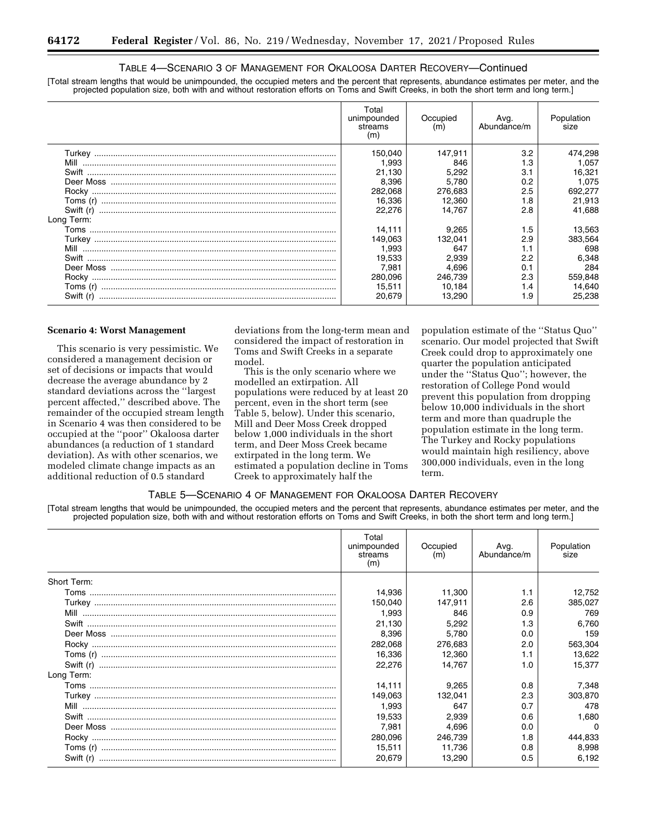# TABLE 4—SCENARIO 3 OF MANAGEMENT FOR OKALOOSA DARTER RECOVERY—Continued

[Total stream lengths that would be unimpounded, the occupied meters and the percent that represents, abundance estimates per meter, and the projected population size, both with and without restoration efforts on Toms and Swift Creeks, in both the short term and long term.]

|            | Total<br>unimpounded<br>streams<br>(m) | Occupied<br>(m) | Avg.<br>Abundance/m | Population<br>size |
|------------|----------------------------------------|-----------------|---------------------|--------------------|
|            | 150,040                                | 147.911         | 3.2                 | 474,298            |
| Mill       | 1.993                                  | 846             | 1.3                 | 1.057              |
|            | 21.130                                 | 5,292           | 3.1                 | 16,321             |
|            | 8.396                                  | 5,780           | 0.2                 | 1.075              |
|            | 282.068                                | 276,683         | 2.5                 | 692.277            |
|            | 16.336                                 | 12.360          | 1.8                 | 21.913             |
|            | 22.276                                 | 14.767          | 2.8                 | 41.688             |
| Long Term: |                                        |                 |                     |                    |
|            | 14.111                                 | 9,265           | 1.5                 | 13,563             |
|            | 149.063                                | 132.041         | 2.9                 | 383,564            |
|            | 1.993                                  | 647             |                     | 698                |
|            | 19,533                                 | 2,939           | 2.2                 | 6,348              |
|            | 7.981                                  | 4.696           | 0.1                 | 284                |
|            | 280.096                                | 246,739         | 2.3                 | 559,848            |
|            | 15.511                                 | 10.184          | 1.4                 | 14.640             |
| Swift (r)  | 20,679                                 | 13,290          | 1.9                 | 25.238             |

#### **Scenario 4: Worst Management**

This scenario is very pessimistic. We considered a management decision or set of decisions or impacts that would decrease the average abundance by 2 standard deviations across the ''largest percent affected,'' described above. The remainder of the occupied stream length in Scenario 4 was then considered to be occupied at the ''poor'' Okaloosa darter abundances (a reduction of 1 standard deviation). As with other scenarios, we modeled climate change impacts as an additional reduction of 0.5 standard

deviations from the long-term mean and considered the impact of restoration in Toms and Swift Creeks in a separate model.

This is the only scenario where we modelled an extirpation. All populations were reduced by at least 20 percent, even in the short term (see Table 5, below). Under this scenario, Mill and Deer Moss Creek dropped below 1,000 individuals in the short term, and Deer Moss Creek became extirpated in the long term. We estimated a population decline in Toms Creek to approximately half the

population estimate of the ''Status Quo'' scenario. Our model projected that Swift Creek could drop to approximately one quarter the population anticipated under the ''Status Quo''; however, the restoration of College Pond would prevent this population from dropping below 10,000 individuals in the short term and more than quadruple the population estimate in the long term. The Turkey and Rocky populations would maintain high resiliency, above 300,000 individuals, even in the long term.

# TABLE 5—SCENARIO 4 OF MANAGEMENT FOR OKALOOSA DARTER RECOVERY

[Total stream lengths that would be unimpounded, the occupied meters and the percent that represents, abundance estimates per meter, and the projected population size, both with and without restoration efforts on Toms and Swift Creeks, in both the short term and long term.]

|             | Total<br>unimpounded<br>streams<br>(m) | Occupied<br>(m) | Avg.<br>Abundance/m | Population<br>size |
|-------------|----------------------------------------|-----------------|---------------------|--------------------|
| Short Term: |                                        |                 |                     |                    |
|             | 14.936                                 | 11,300          | 1.1                 | 12,752             |
|             | 150,040                                | 147,911         | 2.6                 | 385,027            |
|             | 1.993                                  | 846             | 0.9                 | 769                |
|             | 21,130                                 | 5,292           | 1.3                 | 6,760              |
|             | 8.396                                  | 5,780           | 0.0                 | 159                |
|             | 282,068                                | 276,683         | 2.0                 | 563,304            |
|             | 16,336                                 | 12.360          | 1.1                 | 13,622             |
|             | 22,276                                 | 14.767          | 1.0                 | 15.377             |
| Long Term:  |                                        |                 |                     |                    |
|             | 14.111                                 | 9,265           | 0.8                 | 7,348              |
|             | 149,063                                | 132.041         | 2.3                 | 303,870            |
|             | 1.993                                  | 647             | 0.7                 | 478                |
|             | 19,533                                 | 2,939           | 0.6                 | 1,680              |
|             | 7.981                                  | 4.696           | 0.0                 | $\Omega$           |
|             | 280.096                                | 246.739         | 1.8                 | 444,833            |
|             | 15,511                                 | 11,736          | 0.8                 | 8,998              |
|             | 20.679                                 | 13,290          | 0.5                 | 6,192              |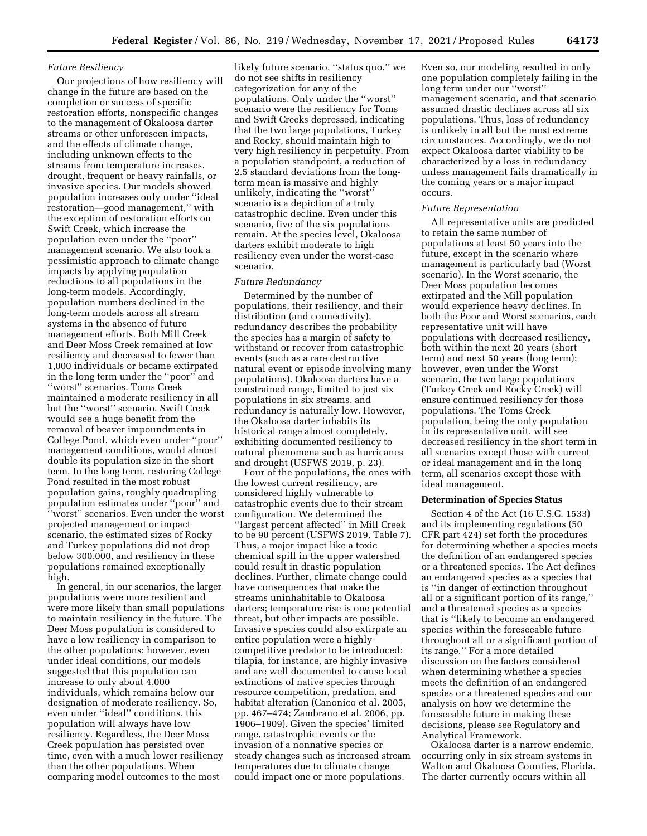## *Future Resiliency*

Our projections of how resiliency will change in the future are based on the completion or success of specific restoration efforts, nonspecific changes to the management of Okaloosa darter streams or other unforeseen impacts, and the effects of climate change, including unknown effects to the streams from temperature increases, drought, frequent or heavy rainfalls, or invasive species. Our models showed population increases only under ''ideal restoration—good management,'' with the exception of restoration efforts on Swift Creek, which increase the population even under the ''poor'' management scenario. We also took a pessimistic approach to climate change impacts by applying population reductions to all populations in the long-term models. Accordingly, population numbers declined in the long-term models across all stream systems in the absence of future management efforts. Both Mill Creek and Deer Moss Creek remained at low resiliency and decreased to fewer than 1,000 individuals or became extirpated in the long term under the ''poor'' and ''worst'' scenarios. Toms Creek maintained a moderate resiliency in all but the ''worst'' scenario. Swift Creek would see a huge benefit from the removal of beaver impoundments in College Pond, which even under ''poor'' management conditions, would almost double its population size in the short term. In the long term, restoring College Pond resulted in the most robust population gains, roughly quadrupling population estimates under ''poor'' and ''worst'' scenarios. Even under the worst projected management or impact scenario, the estimated sizes of Rocky and Turkey populations did not drop below 300,000, and resiliency in these populations remained exceptionally high.

In general, in our scenarios, the larger populations were more resilient and were more likely than small populations to maintain resiliency in the future. The Deer Moss population is considered to have a low resiliency in comparison to the other populations; however, even under ideal conditions, our models suggested that this population can increase to only about 4,000 individuals, which remains below our designation of moderate resiliency. So, even under ''ideal'' conditions, this population will always have low resiliency. Regardless, the Deer Moss Creek population has persisted over time, even with a much lower resiliency than the other populations. When comparing model outcomes to the most

likely future scenario, ''status quo,'' we do not see shifts in resiliency categorization for any of the populations. Only under the ''worst'' scenario were the resiliency for Toms and Swift Creeks depressed, indicating that the two large populations, Turkey and Rocky, should maintain high to very high resiliency in perpetuity. From a population standpoint, a reduction of 2.5 standard deviations from the longterm mean is massive and highly unlikely, indicating the ''worst'' scenario is a depiction of a truly catastrophic decline. Even under this scenario, five of the six populations remain. At the species level, Okaloosa darters exhibit moderate to high resiliency even under the worst-case scenario.

# *Future Redundancy*

Determined by the number of populations, their resiliency, and their distribution (and connectivity), redundancy describes the probability the species has a margin of safety to withstand or recover from catastrophic events (such as a rare destructive natural event or episode involving many populations). Okaloosa darters have a constrained range, limited to just six populations in six streams, and redundancy is naturally low. However, the Okaloosa darter inhabits its historical range almost completely, exhibiting documented resiliency to natural phenomena such as hurricanes and drought (USFWS 2019, p. 23).

Four of the populations, the ones with the lowest current resiliency, are considered highly vulnerable to catastrophic events due to their stream configuration. We determined the ''largest percent affected'' in Mill Creek to be 90 percent (USFWS 2019, Table 7). Thus, a major impact like a toxic chemical spill in the upper watershed could result in drastic population declines. Further, climate change could have consequences that make the streams uninhabitable to Okaloosa darters; temperature rise is one potential threat, but other impacts are possible. Invasive species could also extirpate an entire population were a highly competitive predator to be introduced; tilapia, for instance, are highly invasive and are well documented to cause local extinctions of native species through resource competition, predation, and habitat alteration (Canonico et al. 2005, pp. 467–474; Zambrano et al. 2006, pp. 1906–1909). Given the species' limited range, catastrophic events or the invasion of a nonnative species or steady changes such as increased stream temperatures due to climate change could impact one or more populations.

Even so, our modeling resulted in only one population completely failing in the long term under our ''worst'' management scenario, and that scenario assumed drastic declines across all six populations. Thus, loss of redundancy is unlikely in all but the most extreme circumstances. Accordingly, we do not expect Okaloosa darter viability to be characterized by a loss in redundancy unless management fails dramatically in the coming years or a major impact occurs.

#### *Future Representation*

All representative units are predicted to retain the same number of populations at least 50 years into the future, except in the scenario where management is particularly bad (Worst scenario). In the Worst scenario, the Deer Moss population becomes extirpated and the Mill population would experience heavy declines. In both the Poor and Worst scenarios, each representative unit will have populations with decreased resiliency, both within the next 20 years (short term) and next 50 years (long term); however, even under the Worst scenario, the two large populations (Turkey Creek and Rocky Creek) will ensure continued resiliency for those populations. The Toms Creek population, being the only population in its representative unit, will see decreased resiliency in the short term in all scenarios except those with current or ideal management and in the long term, all scenarios except those with ideal management.

# **Determination of Species Status**

Section 4 of the Act (16 U.S.C. 1533) and its implementing regulations (50 CFR part 424) set forth the procedures for determining whether a species meets the definition of an endangered species or a threatened species. The Act defines an endangered species as a species that is ''in danger of extinction throughout all or a significant portion of its range,'' and a threatened species as a species that is ''likely to become an endangered species within the foreseeable future throughout all or a significant portion of its range.'' For a more detailed discussion on the factors considered when determining whether a species meets the definition of an endangered species or a threatened species and our analysis on how we determine the foreseeable future in making these decisions, please see Regulatory and Analytical Framework.

Okaloosa darter is a narrow endemic, occurring only in six stream systems in Walton and Okaloosa Counties, Florida. The darter currently occurs within all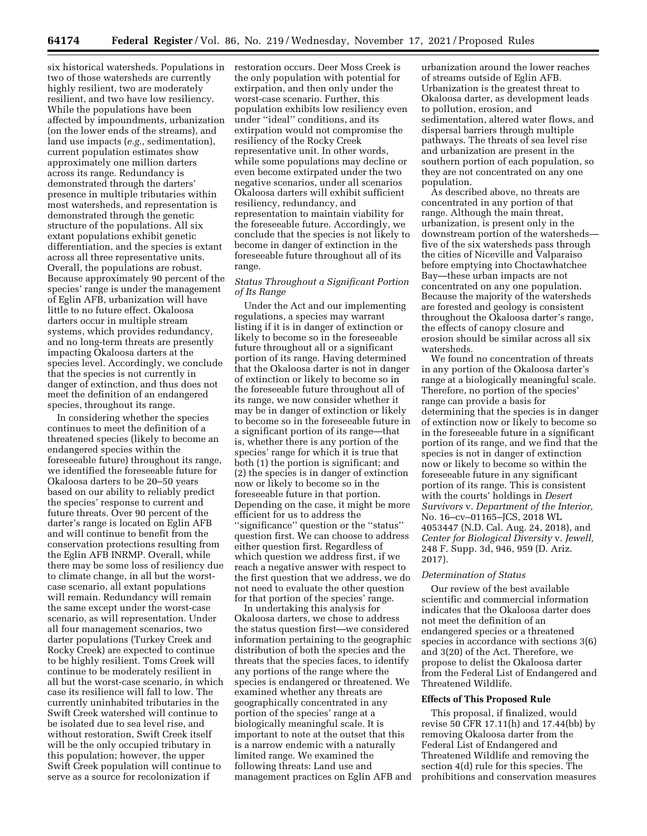six historical watersheds. Populations in restoration occurs. Deer Moss Creek is two of those watersheds are currently highly resilient, two are moderately resilient, and two have low resiliency. While the populations have been affected by impoundments, urbanization (on the lower ends of the streams), and land use impacts (*e.g.,* sedimentation), current population estimates show approximately one million darters across its range. Redundancy is demonstrated through the darters' presence in multiple tributaries within most watersheds, and representation is demonstrated through the genetic structure of the populations. All six extant populations exhibit genetic differentiation, and the species is extant across all three representative units. Overall, the populations are robust. Because approximately 90 percent of the species' range is under the management of Eglin AFB, urbanization will have little to no future effect. Okaloosa darters occur in multiple stream systems, which provides redundancy, and no long-term threats are presently impacting Okaloosa darters at the species level. Accordingly, we conclude that the species is not currently in danger of extinction, and thus does not meet the definition of an endangered species, throughout its range.

In considering whether the species continues to meet the definition of a threatened species (likely to become an endangered species within the foreseeable future) throughout its range, we identified the foreseeable future for Okaloosa darters to be 20–50 years based on our ability to reliably predict the species' response to current and future threats. Over 90 percent of the darter's range is located on Eglin AFB and will continue to benefit from the conservation protections resulting from the Eglin AFB INRMP. Overall, while there may be some loss of resiliency due to climate change, in all but the worstcase scenario, all extant populations will remain. Redundancy will remain the same except under the worst-case scenario, as will representation. Under all four management scenarios, two darter populations (Turkey Creek and Rocky Creek) are expected to continue to be highly resilient. Toms Creek will continue to be moderately resilient in all but the worst-case scenario, in which case its resilience will fall to low. The currently uninhabited tributaries in the Swift Creek watershed will continue to be isolated due to sea level rise, and without restoration, Swift Creek itself will be the only occupied tributary in this population; however, the upper Swift Creek population will continue to serve as a source for recolonization if

the only population with potential for extirpation, and then only under the worst-case scenario. Further, this population exhibits low resiliency even under ''ideal'' conditions, and its extirpation would not compromise the resiliency of the Rocky Creek representative unit. In other words, while some populations may decline or even become extirpated under the two negative scenarios, under all scenarios Okaloosa darters will exhibit sufficient resiliency, redundancy, and representation to maintain viability for the foreseeable future. Accordingly, we conclude that the species is not likely to become in danger of extinction in the foreseeable future throughout all of its range.

# *Status Throughout a Significant Portion of Its Range*

Under the Act and our implementing regulations, a species may warrant listing if it is in danger of extinction or likely to become so in the foreseeable future throughout all or a significant portion of its range. Having determined that the Okaloosa darter is not in danger of extinction or likely to become so in the foreseeable future throughout all of its range, we now consider whether it may be in danger of extinction or likely to become so in the foreseeable future in a significant portion of its range—that is, whether there is any portion of the species' range for which it is true that both (1) the portion is significant; and (2) the species is in danger of extinction now or likely to become so in the foreseeable future in that portion. Depending on the case, it might be more efficient for us to address the ''significance'' question or the ''status'' question first. We can choose to address either question first. Regardless of which question we address first, if we reach a negative answer with respect to the first question that we address, we do not need to evaluate the other question for that portion of the species' range.

In undertaking this analysis for Okaloosa darters, we chose to address the status question first—we considered information pertaining to the geographic distribution of both the species and the threats that the species faces, to identify any portions of the range where the species is endangered or threatened. We examined whether any threats are geographically concentrated in any portion of the species' range at a biologically meaningful scale. It is important to note at the outset that this is a narrow endemic with a naturally limited range. We examined the following threats: Land use and management practices on Eglin AFB and

urbanization around the lower reaches of streams outside of Eglin AFB. Urbanization is the greatest threat to Okaloosa darter, as development leads to pollution, erosion, and sedimentation, altered water flows, and dispersal barriers through multiple pathways. The threats of sea level rise and urbanization are present in the southern portion of each population, so they are not concentrated on any one population.

As described above, no threats are concentrated in any portion of that range. Although the main threat, urbanization, is present only in the downstream portion of the watersheds five of the six watersheds pass through the cities of Niceville and Valparaiso before emptying into Choctawhatchee Bay—these urban impacts are not concentrated on any one population. Because the majority of the watersheds are forested and geology is consistent throughout the Okaloosa darter's range, the effects of canopy closure and erosion should be similar across all six watersheds.

We found no concentration of threats in any portion of the Okaloosa darter's range at a biologically meaningful scale. Therefore, no portion of the species' range can provide a basis for determining that the species is in danger of extinction now or likely to become so in the foreseeable future in a significant portion of its range, and we find that the species is not in danger of extinction now or likely to become so within the foreseeable future in any significant portion of its range. This is consistent with the courts' holdings in *Desert Survivors* v. *Department of the Interior,*  No. 16–cv–01165–JCS, 2018 WL 4053447 (N.D. Cal. Aug. 24, 2018), and *Center for Biological Diversity* v. *Jewell,*  248 F. Supp. 3d, 946, 959 (D. Ariz. 2017).

#### *Determination of Status*

Our review of the best available scientific and commercial information indicates that the Okaloosa darter does not meet the definition of an endangered species or a threatened species in accordance with sections 3(6) and 3(20) of the Act. Therefore, we propose to delist the Okaloosa darter from the Federal List of Endangered and Threatened Wildlife.

## **Effects of This Proposed Rule**

This proposal, if finalized, would revise 50 CFR 17.11(h) and 17.44(bb) by removing Okaloosa darter from the Federal List of Endangered and Threatened Wildlife and removing the section 4(d) rule for this species. The prohibitions and conservation measures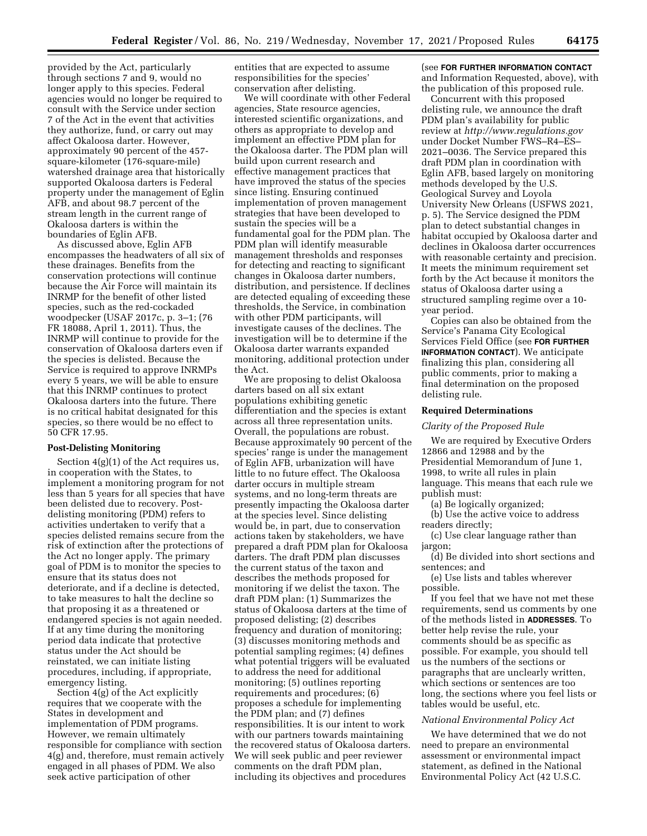provided by the Act, particularly through sections 7 and 9, would no longer apply to this species. Federal agencies would no longer be required to consult with the Service under section 7 of the Act in the event that activities they authorize, fund, or carry out may affect Okaloosa darter. However, approximately 90 percent of the 457 square-kilometer (176-square-mile) watershed drainage area that historically supported Okaloosa darters is Federal property under the management of Eglin AFB, and about 98.7 percent of the stream length in the current range of Okaloosa darters is within the boundaries of Eglin AFB.

As discussed above, Eglin AFB encompasses the headwaters of all six of these drainages. Benefits from the conservation protections will continue because the Air Force will maintain its INRMP for the benefit of other listed species, such as the red-cockaded woodpecker (USAF 2017c, p. 3–1; (76 FR 18088, April 1, 2011). Thus, the INRMP will continue to provide for the conservation of Okaloosa darters even if the species is delisted. Because the Service is required to approve INRMPs every 5 years, we will be able to ensure that this INRMP continues to protect Okaloosa darters into the future. There is no critical habitat designated for this species, so there would be no effect to 50 CFR 17.95.

# **Post-Delisting Monitoring**

Section 4(g)(1) of the Act requires us, in cooperation with the States, to implement a monitoring program for not less than 5 years for all species that have been delisted due to recovery. Postdelisting monitoring (PDM) refers to activities undertaken to verify that a species delisted remains secure from the risk of extinction after the protections of the Act no longer apply. The primary goal of PDM is to monitor the species to ensure that its status does not deteriorate, and if a decline is detected, to take measures to halt the decline so that proposing it as a threatened or endangered species is not again needed. If at any time during the monitoring period data indicate that protective status under the Act should be reinstated, we can initiate listing procedures, including, if appropriate, emergency listing.

Section 4(g) of the Act explicitly requires that we cooperate with the States in development and implementation of PDM programs. However, we remain ultimately responsible for compliance with section 4(g) and, therefore, must remain actively engaged in all phases of PDM. We also seek active participation of other

entities that are expected to assume responsibilities for the species' conservation after delisting.

We will coordinate with other Federal agencies, State resource agencies, interested scientific organizations, and others as appropriate to develop and implement an effective PDM plan for the Okaloosa darter. The PDM plan will build upon current research and effective management practices that have improved the status of the species since listing. Ensuring continued implementation of proven management strategies that have been developed to sustain the species will be a fundamental goal for the PDM plan. The PDM plan will identify measurable management thresholds and responses for detecting and reacting to significant changes in Okaloosa darter numbers, distribution, and persistence. If declines are detected equaling of exceeding these thresholds, the Service, in combination with other PDM participants, will investigate causes of the declines. The investigation will be to determine if the Okaloosa darter warrants expanded monitoring, additional protection under the Act.

We are proposing to delist Okaloosa darters based on all six extant populations exhibiting genetic differentiation and the species is extant across all three representation units. Overall, the populations are robust. Because approximately 90 percent of the species' range is under the management of Eglin AFB, urbanization will have little to no future effect. The Okaloosa darter occurs in multiple stream systems, and no long-term threats are presently impacting the Okaloosa darter at the species level. Since delisting would be, in part, due to conservation actions taken by stakeholders, we have prepared a draft PDM plan for Okaloosa darters. The draft PDM plan discusses the current status of the taxon and describes the methods proposed for monitoring if we delist the taxon. The draft PDM plan: (1) Summarizes the status of Okaloosa darters at the time of proposed delisting; (2) describes frequency and duration of monitoring; (3) discusses monitoring methods and potential sampling regimes; (4) defines what potential triggers will be evaluated to address the need for additional monitoring; (5) outlines reporting requirements and procedures; (6) proposes a schedule for implementing the PDM plan; and (7) defines responsibilities. It is our intent to work with our partners towards maintaining the recovered status of Okaloosa darters. We will seek public and peer reviewer comments on the draft PDM plan, including its objectives and procedures

# (see **FOR FURTHER INFORMATION CONTACT** and Information Requested, above), with the publication of this proposed rule.

Concurrent with this proposed delisting rule, we announce the draft PDM plan's availability for public review at *<http://www.regulations.gov>* under Docket Number FWS–R4–ES– 2021–0036. The Service prepared this draft PDM plan in coordination with Eglin AFB, based largely on monitoring methods developed by the U.S. Geological Survey and Loyola University New Orleans (USFWS 2021, p. 5). The Service designed the PDM plan to detect substantial changes in habitat occupied by Okaloosa darter and declines in Okaloosa darter occurrences with reasonable certainty and precision. It meets the minimum requirement set forth by the Act because it monitors the status of Okaloosa darter using a structured sampling regime over a 10 year period.

Copies can also be obtained from the Service's Panama City Ecological Services Field Office (see **FOR FURTHER INFORMATION CONTACT**). We anticipate finalizing this plan, considering all public comments, prior to making a final determination on the proposed delisting rule.

## **Required Determinations**

#### *Clarity of the Proposed Rule*

We are required by Executive Orders 12866 and 12988 and by the Presidential Memorandum of June 1, 1998, to write all rules in plain language. This means that each rule we publish must:

(a) Be logically organized;

(b) Use the active voice to address readers directly;

(c) Use clear language rather than jargon;

(d) Be divided into short sections and sentences; and

(e) Use lists and tables wherever possible.

If you feel that we have not met these requirements, send us comments by one of the methods listed in **ADDRESSES**. To better help revise the rule, your comments should be as specific as possible. For example, you should tell us the numbers of the sections or paragraphs that are unclearly written, which sections or sentences are too long, the sections where you feel lists or tables would be useful, etc.

#### *National Environmental Policy Act*

We have determined that we do not need to prepare an environmental assessment or environmental impact statement, as defined in the National Environmental Policy Act (42 U.S.C.